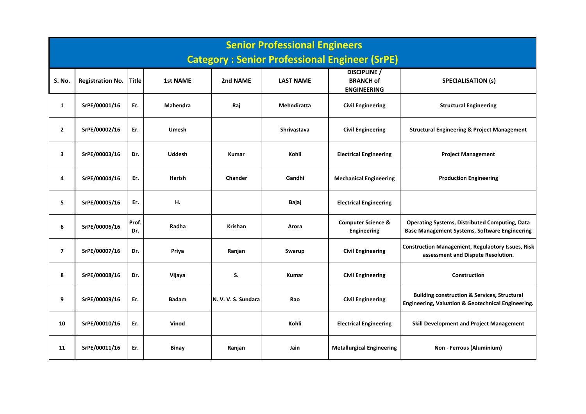|                         | <b>Senior Professional Engineers</b><br><b>Category: Senior Professional Engineer (SrPE)</b> |              |                 |                     |                    |                                                               |                                                                                                               |  |  |  |  |  |  |
|-------------------------|----------------------------------------------------------------------------------------------|--------------|-----------------|---------------------|--------------------|---------------------------------------------------------------|---------------------------------------------------------------------------------------------------------------|--|--|--|--|--|--|
| S. No.                  | <b>Registration No.</b>                                                                      | <b>Title</b> | <b>1st NAME</b> | 2nd NAME            | <b>LAST NAME</b>   | <b>DISCIPLINE</b> /<br><b>BRANCH of</b><br><b>ENGINEERING</b> | <b>SPECIALISATION (s)</b>                                                                                     |  |  |  |  |  |  |
| $\mathbf{1}$            | SrPE/00001/16                                                                                | Er.          | <b>Mahendra</b> | Raj                 | Mehndiratta        | <b>Civil Engineering</b>                                      | <b>Structural Engineering</b>                                                                                 |  |  |  |  |  |  |
| $\overline{2}$          | SrPE/00002/16                                                                                | Er.          | <b>Umesh</b>    |                     | <b>Shrivastava</b> | <b>Civil Engineering</b>                                      | <b>Structural Engineering &amp; Project Management</b>                                                        |  |  |  |  |  |  |
| $\overline{\mathbf{3}}$ | SrPE/00003/16                                                                                | Dr.          | <b>Uddesh</b>   | <b>Kumar</b>        | Kohli              | <b>Electrical Engineering</b>                                 | <b>Project Management</b>                                                                                     |  |  |  |  |  |  |
| 4                       | SrPE/00004/16                                                                                | Er.          | <b>Harish</b>   | Chander             | Gandhi             | <b>Mechanical Engineering</b>                                 | <b>Production Engineering</b>                                                                                 |  |  |  |  |  |  |
| 5                       | SrPE/00005/16                                                                                | Er.          | н.              |                     | Bajaj              | <b>Electrical Engineering</b>                                 |                                                                                                               |  |  |  |  |  |  |
| 6                       | SrPE/00006/16                                                                                | Prof.<br>Dr. | Radha           | <b>Krishan</b>      | Arora              | <b>Computer Science &amp;</b><br><b>Engineering</b>           | <b>Operating Systems, Distributed Computing, Data</b><br><b>Base Management Systems, Software Engineering</b> |  |  |  |  |  |  |
| $\overline{7}$          | SrPE/00007/16                                                                                | Dr.          | Priya           | Ranjan              | Swarup             | <b>Civil Engineering</b>                                      | <b>Construction Management, Regulaotory Issues, Risk</b><br>assessment and Dispute Resolution.                |  |  |  |  |  |  |
| 8                       | SrPE/00008/16                                                                                | Dr.          | Vijaya          | S.                  | Kumar              | <b>Civil Engineering</b>                                      | Construction                                                                                                  |  |  |  |  |  |  |
| 9                       | SrPE/00009/16                                                                                | Er.          | <b>Badam</b>    | N. V. V. S. Sundara | Rao                | <b>Civil Engineering</b>                                      | <b>Building construction &amp; Services, Structural</b><br>Engineering, Valuation & Geotechnical Engineering. |  |  |  |  |  |  |
| 10                      | SrPE/00010/16                                                                                | Er.          | Vinod           |                     | Kohli              | <b>Electrical Engineering</b>                                 | <b>Skill Development and Project Management</b>                                                               |  |  |  |  |  |  |
| 11                      | SrPE/00011/16                                                                                | Er.          | Binay           | Ranjan              | Jain               | <b>Metallurgical Engineering</b>                              | Non - Ferrous (Aluminium)                                                                                     |  |  |  |  |  |  |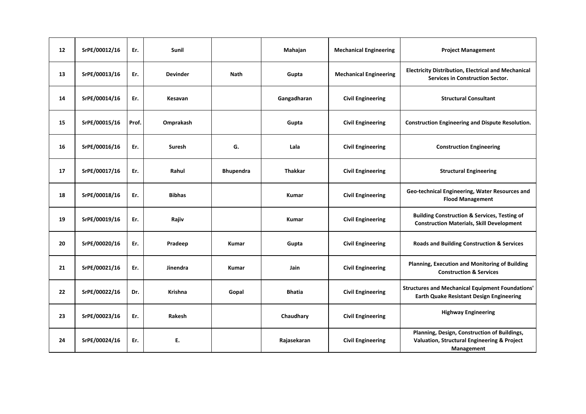| 12 | SrPE/00012/16 | Er.   | <b>Sunil</b>    |                  | Mahajan        | <b>Mechanical Engineering</b> | <b>Project Management</b>                                                                                   |
|----|---------------|-------|-----------------|------------------|----------------|-------------------------------|-------------------------------------------------------------------------------------------------------------|
| 13 | SrPE/00013/16 | Er.   | <b>Devinder</b> | <b>Nath</b>      | Gupta          | <b>Mechanical Engineering</b> | <b>Electricity Distribution, Electrical and Mechanical</b><br><b>Services in Construction Sector.</b>       |
| 14 | SrPE/00014/16 | Er.   | Kesavan         |                  | Gangadharan    | <b>Civil Engineering</b>      | <b>Structural Consultant</b>                                                                                |
| 15 | SrPE/00015/16 | Prof. | Omprakash       |                  | Gupta          | <b>Civil Engineering</b>      | <b>Construction Engineering and Dispute Resolution.</b>                                                     |
| 16 | SrPE/00016/16 | Er.   | Suresh          | G.               | Lala           | <b>Civil Engineering</b>      | <b>Construction Engineering</b>                                                                             |
| 17 | SrPE/00017/16 | Er.   | Rahul           | <b>Bhupendra</b> | <b>Thakkar</b> | <b>Civil Engineering</b>      | <b>Structural Engineering</b>                                                                               |
| 18 | SrPE/00018/16 | Er.   | <b>Bibhas</b>   |                  | Kumar          | <b>Civil Engineering</b>      | Geo-technical Engineering, Water Resources and<br><b>Flood Management</b>                                   |
| 19 | SrPE/00019/16 | Er.   | Rajiv           |                  | Kumar          | <b>Civil Engineering</b>      | <b>Building Construction &amp; Services, Testing of</b><br><b>Construction Materials, Skill Development</b> |
| 20 | SrPE/00020/16 | Er.   | Pradeep         | <b>Kumar</b>     | Gupta          | <b>Civil Engineering</b>      | <b>Roads and Building Construction &amp; Services</b>                                                       |
| 21 | SrPE/00021/16 | Er.   | Jinendra        | <b>Kumar</b>     | Jain           | <b>Civil Engineering</b>      | Planning, Execution and Monitoring of Building<br><b>Construction &amp; Services</b>                        |
| 22 | SrPE/00022/16 | Dr.   | <b>Krishna</b>  | Gopal            | <b>Bhatia</b>  | <b>Civil Engineering</b>      | <b>Structures and Mechanical Equipment Foundations'</b><br><b>Earth Quake Resistant Design Engineering</b>  |
| 23 | SrPE/00023/16 | Er.   | Rakesh          |                  | Chaudhary      | <b>Civil Engineering</b>      | <b>Highway Engineering</b>                                                                                  |
| 24 | SrPE/00024/16 | Er.   | Ε.              |                  | Rajasekaran    | <b>Civil Engineering</b>      | Planning, Design, Construction of Buildings,<br>Valuation, Structural Engineering & Project<br>Management   |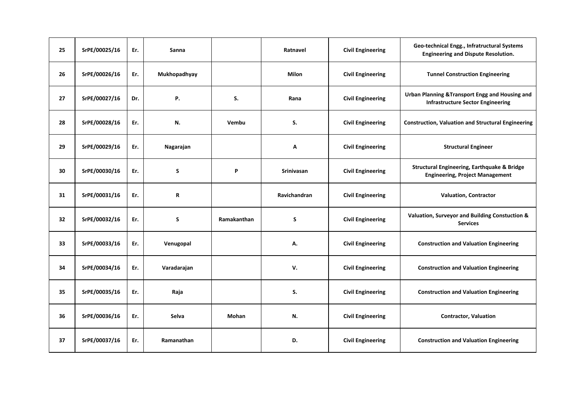| 25 | SrPE/00025/16 | Er. | Sanna        |             | Ratnavel     | <b>Civil Engineering</b> | Geo-technical Engg., Infratructural Systems<br><b>Engineering and Dispute Resolution.</b>        |
|----|---------------|-----|--------------|-------------|--------------|--------------------------|--------------------------------------------------------------------------------------------------|
| 26 | SrPE/00026/16 | Er. | Mukhopadhyay |             | <b>Milon</b> | <b>Civil Engineering</b> | <b>Tunnel Construction Engineering</b>                                                           |
| 27 | SrPE/00027/16 | Dr. | Ρ.           | S.          | Rana         | <b>Civil Engineering</b> | Urban Planning & Transport Engg and Housing and<br><b>Infrastructure Sector Engineering</b>      |
| 28 | SrPE/00028/16 | Er. | N.           | Vembu       | S.           | <b>Civil Engineering</b> | <b>Construction, Valuation and Structural Engineering</b>                                        |
| 29 | SrPE/00029/16 | Er. | Nagarajan    |             | Α            | <b>Civil Engineering</b> | <b>Structural Engineer</b>                                                                       |
| 30 | SrPE/00030/16 | Er. | S            | P           | Srinivasan   | <b>Civil Engineering</b> | <b>Structural Engineering, Earthquake &amp; Bridge</b><br><b>Engineering, Project Management</b> |
| 31 | SrPE/00031/16 | Er. | R            |             | Ravichandran | <b>Civil Engineering</b> | <b>Valuation, Contractor</b>                                                                     |
| 32 | SrPE/00032/16 | Er. | S            | Ramakanthan | S            | <b>Civil Engineering</b> | Valuation, Surveyor and Building Constuction &<br><b>Services</b>                                |
| 33 | SrPE/00033/16 | Er. | Venugopal    |             | А.           | <b>Civil Engineering</b> | <b>Construction and Valuation Engineering</b>                                                    |
| 34 | SrPE/00034/16 | Er. | Varadarajan  |             | V.           | <b>Civil Engineering</b> | <b>Construction and Valuation Engineering</b>                                                    |
| 35 | SrPE/00035/16 | Er. | Raja         |             | S.           | <b>Civil Engineering</b> | <b>Construction and Valuation Engineering</b>                                                    |
| 36 | SrPE/00036/16 | Er. | Selva        | Mohan       | N.           | <b>Civil Engineering</b> | <b>Contractor, Valuation</b>                                                                     |
| 37 | SrPE/00037/16 | Er. | Ramanathan   |             | D.           | <b>Civil Engineering</b> | <b>Construction and Valuation Engineering</b>                                                    |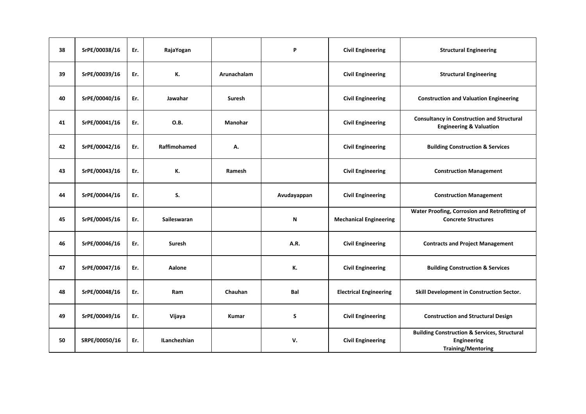| 38 | SrPE/00038/16 | Er. | RajaYogan           |                | P           | <b>Civil Engineering</b>      | <b>Structural Engineering</b>                                                                              |
|----|---------------|-----|---------------------|----------------|-------------|-------------------------------|------------------------------------------------------------------------------------------------------------|
| 39 | SrPE/00039/16 | Er. | К.                  | Arunachalam    |             | <b>Civil Engineering</b>      | <b>Structural Engineering</b>                                                                              |
| 40 | SrPE/00040/16 | Er. | Jawahar             | Suresh         |             | <b>Civil Engineering</b>      | <b>Construction and Valuation Engineering</b>                                                              |
| 41 | SrPE/00041/16 | Er. | O.B.                | <b>Manohar</b> |             | <b>Civil Engineering</b>      | <b>Consultancy in Construction and Structural</b><br><b>Engineering &amp; Valuation</b>                    |
| 42 | SrPE/00042/16 | Er. | Raffimohamed        | А.             |             | <b>Civil Engineering</b>      | <b>Building Construction &amp; Services</b>                                                                |
| 43 | SrPE/00043/16 | Er. | К.                  | Ramesh         |             | <b>Civil Engineering</b>      | <b>Construction Management</b>                                                                             |
| 44 | SrPE/00044/16 | Er. | S.                  |                | Avudayappan | <b>Civil Engineering</b>      | <b>Construction Management</b>                                                                             |
| 45 | SrPE/00045/16 | Er. | Saileswaran         |                | N           | <b>Mechanical Engineering</b> | Water Proofing, Corrosion and Retrofitting of<br><b>Concrete Structures</b>                                |
| 46 | SrPE/00046/16 | Er. | Suresh              |                | A.R.        | <b>Civil Engineering</b>      | <b>Contracts and Project Management</b>                                                                    |
| 47 | SrPE/00047/16 | Er. | Aalone              |                | К.          | <b>Civil Engineering</b>      | <b>Building Construction &amp; Services</b>                                                                |
| 48 | SrPE/00048/16 | Er. | Ram                 | Chauhan        | Bal         | <b>Electrical Engineering</b> | Skill Development in Construction Sector.                                                                  |
| 49 | SrPE/00049/16 | Er. | Vijaya              | <b>Kumar</b>   | S           | <b>Civil Engineering</b>      | <b>Construction and Structural Design</b>                                                                  |
| 50 | SRPE/00050/16 | Er. | <b>ILanchezhian</b> |                | v.          | <b>Civil Engineering</b>      | <b>Building Construction &amp; Services, Structural</b><br><b>Engineering</b><br><b>Training/Mentoring</b> |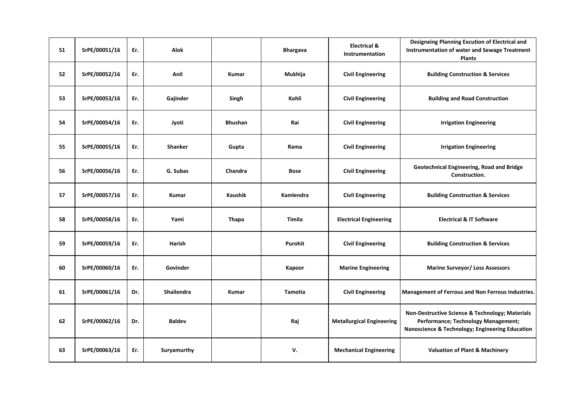| 51 | SrPE/00051/16 | Er. | Alok              |                | <b>Bhargava</b> | <b>Electrical &amp;</b><br>Instrumentation | Designeing Planning Excution of Electrical and<br>Instrumentation of water and Sewage Treatment<br><b>Plants</b>                          |
|----|---------------|-----|-------------------|----------------|-----------------|--------------------------------------------|-------------------------------------------------------------------------------------------------------------------------------------------|
| 52 | SrPE/00052/16 | Er. | Anil              | Kumar          | Mukhija         | <b>Civil Engineering</b>                   | <b>Building Construction &amp; Services</b>                                                                                               |
| 53 | SrPE/00053/16 | Er. | Gajinder          | Singh          | Kohli           | <b>Civil Engineering</b>                   | <b>Building and Road Construction</b>                                                                                                     |
| 54 | SrPE/00054/16 | Er. | Jyoti             | <b>Bhushan</b> | Rai             | <b>Civil Engineering</b>                   | <b>Irrigation Engineering</b>                                                                                                             |
| 55 | SrPE/00055/16 | Er. | Shanker           | Gupta          | Rama            | <b>Civil Engineering</b>                   | <b>Irrigation Engineering</b>                                                                                                             |
| 56 | SrPE/00056/16 | Er. | G. Subas          | Chandra        | <b>Bose</b>     | <b>Civil Engineering</b>                   | Geotechnical Engineering, Road and Bridge<br>Construction.                                                                                |
| 57 | SrPE/00057/16 | Er. | Kumar             | Kaushik        | Kamlendra       | <b>Civil Engineering</b>                   | <b>Building Construction &amp; Services</b>                                                                                               |
| 58 | SrPE/00058/16 | Er. | Yami              | <b>Thapa</b>   | Timila          | <b>Electrical Engineering</b>              | <b>Electrical &amp; IT Software</b>                                                                                                       |
| 59 | SrPE/00059/16 | Er. | Harish            |                | Purohit         | <b>Civil Engineering</b>                   | <b>Building Construction &amp; Services</b>                                                                                               |
| 60 | SrPE/00060/16 | Er. | Govinder          |                | Kapoor          | <b>Marine Engineering</b>                  | <b>Marine Surveyor/ Loss Assessors</b>                                                                                                    |
| 61 | SrPE/00061/16 | Dr. | <b>Shailendra</b> | <b>Kumar</b>   | <b>Tamotia</b>  | <b>Civil Engineering</b>                   | Management of Ferrous and Non Ferrous Industries.                                                                                         |
| 62 | SrPE/00062/16 | Dr. | <b>Baldev</b>     |                | Raj             | <b>Metallurgical Engineering</b>           | Non-Destructive Science & Technology; Materials<br>Performance; Technology Management;<br>Nanoscience & Technology; Engineering Education |
| 63 | SrPE/00063/16 | Er. | Suryamurthy       |                | V.              | <b>Mechanical Engineering</b>              | <b>Valuation of Plant &amp; Machinery</b>                                                                                                 |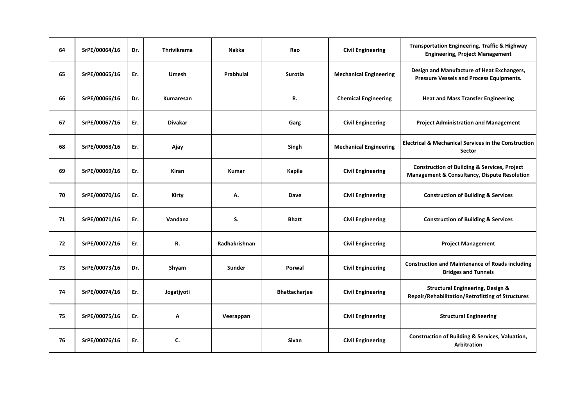| 64 | SrPE/00064/16 | Dr. | <b>Thrivikrama</b> | <b>Nakka</b>  | Rao            | <b>Civil Engineering</b>      | <b>Transportation Engineering, Traffic &amp; Highway</b><br><b>Engineering, Project Management</b>      |
|----|---------------|-----|--------------------|---------------|----------------|-------------------------------|---------------------------------------------------------------------------------------------------------|
| 65 | SrPE/00065/16 | Er. | <b>Umesh</b>       | Prabhulal     | <b>Surotia</b> | <b>Mechanical Engineering</b> | Design and Manufacture of Heat Exchangers,<br>Pressure Vessels and Process Equipments.                  |
| 66 | SrPE/00066/16 | Dr. | Kumaresan          |               | R.             | <b>Chemical Engineering</b>   | <b>Heat and Mass Transfer Engineering</b>                                                               |
| 67 | SrPE/00067/16 | Er. | <b>Divakar</b>     |               | Garg           | <b>Civil Engineering</b>      | <b>Project Administration and Management</b>                                                            |
| 68 | SrPE/00068/16 | Er. | Ajay               |               | Singh          | <b>Mechanical Engineering</b> | <b>Electrical &amp; Mechanical Services in the Construction</b><br><b>Sector</b>                        |
| 69 | SrPE/00069/16 | Er. | <b>Kiran</b>       | <b>Kumar</b>  | Kapila         | <b>Civil Engineering</b>      | <b>Construction of Building &amp; Services, Project</b><br>Management & Consultancy, Dispute Resolution |
| 70 | SrPE/00070/16 | Er. | Kirty              | А.            | Dave           | <b>Civil Engineering</b>      | <b>Construction of Building &amp; Services</b>                                                          |
| 71 | SrPE/00071/16 | Er. | Vandana            | S.            | <b>Bhatt</b>   | <b>Civil Engineering</b>      | <b>Construction of Building &amp; Services</b>                                                          |
| 72 | SrPE/00072/16 | Er. | R.                 | Radhakrishnan |                | <b>Civil Engineering</b>      | <b>Project Management</b>                                                                               |
| 73 | SrPE/00073/16 | Dr. | Shyam              | Sunder        | Porwal         | <b>Civil Engineering</b>      | <b>Construction and Maintenance of Roads including</b><br><b>Bridges and Tunnels</b>                    |
| 74 | SrPE/00074/16 | Er. | Jogatjyoti         |               | Bhattacharjee  | <b>Civil Engineering</b>      | <b>Structural Engineering, Design &amp;</b><br>Repair/Rehabilitation/Retrofitting of Structures         |
| 75 | SrPE/00075/16 | Er. | Α                  | Veerappan     |                | <b>Civil Engineering</b>      | <b>Structural Engineering</b>                                                                           |
| 76 | SrPE/00076/16 | Er. | C.                 |               | Sivan          | <b>Civil Engineering</b>      | <b>Construction of Building &amp; Services, Valuation,</b><br>Arbitration                               |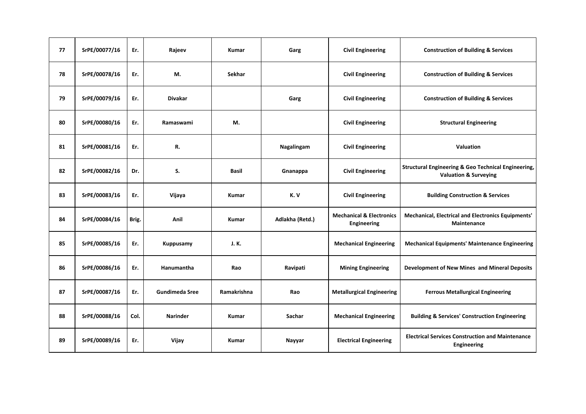| 77 | SrPE/00077/16 | Er.   | Rajeev                | <b>Kumar</b> | Garg            | <b>Civil Engineering</b>                           | <b>Construction of Building &amp; Services</b>                                                     |
|----|---------------|-------|-----------------------|--------------|-----------------|----------------------------------------------------|----------------------------------------------------------------------------------------------------|
| 78 | SrPE/00078/16 | Er.   | M.                    | Sekhar       |                 | <b>Civil Engineering</b>                           | <b>Construction of Building &amp; Services</b>                                                     |
| 79 | SrPE/00079/16 | Er.   | <b>Divakar</b>        |              | Garg            | <b>Civil Engineering</b>                           | <b>Construction of Building &amp; Services</b>                                                     |
| 80 | SrPE/00080/16 | Er.   | Ramaswami             | М.           |                 | <b>Civil Engineering</b>                           | <b>Structural Engineering</b>                                                                      |
| 81 | SrPE/00081/16 | Er.   | R.                    |              | Nagalingam      | <b>Civil Engineering</b>                           | Valuation                                                                                          |
| 82 | SrPE/00082/16 | Dr.   | S.                    | <b>Basil</b> | Gnanappa        | <b>Civil Engineering</b>                           | <b>Structural Engineering &amp; Geo Technical Engineering,</b><br><b>Valuation &amp; Surveying</b> |
| 83 | SrPE/00083/16 | Er.   | Vijaya                | Kumar        | K.V             | <b>Civil Engineering</b>                           | <b>Building Construction &amp; Services</b>                                                        |
| 84 | SrPE/00084/16 | Brig. | Anil                  | <b>Kumar</b> | Adlakha (Retd.) | <b>Mechanical &amp; Electronics</b><br>Engineering | Mechanical, Electrical and Electronics Equipments'<br><b>Maintenance</b>                           |
| 85 | SrPE/00085/16 | Er.   | Kuppusamy             | J.K.         |                 | <b>Mechanical Engineering</b>                      | <b>Mechanical Equipments' Maintenance Engineering</b>                                              |
| 86 | SrPE/00086/16 | Er.   | Hanumantha            | Rao          | Ravipati        | <b>Mining Engineering</b>                          | Development of New Mines and Mineral Deposits                                                      |
| 87 | SrPE/00087/16 | Er.   | <b>Gundimeda Sree</b> | Ramakrishna  | Rao             | <b>Metallurgical Engineering</b>                   | <b>Ferrous Metallurgical Engineering</b>                                                           |
| 88 | SrPE/00088/16 | Col.  | <b>Narinder</b>       | <b>Kumar</b> | Sachar          | <b>Mechanical Engineering</b>                      | <b>Building &amp; Services' Construction Engineering</b>                                           |
| 89 | SrPE/00089/16 | Er.   | Vijay                 | <b>Kumar</b> | Nayyar          | <b>Electrical Engineering</b>                      | <b>Electrical Services Construction and Maintenance</b><br>Engineering                             |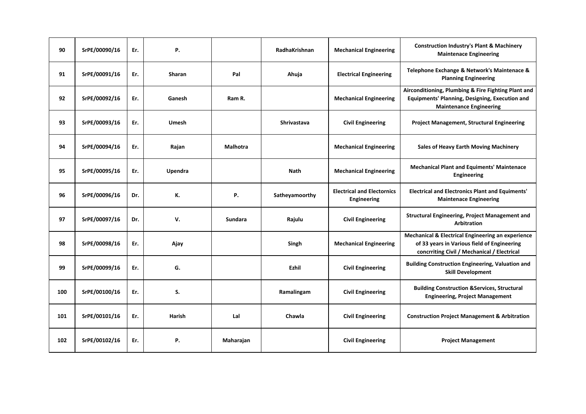| 90  | SrPE/00090/16 | Er. | Ρ.           |                | RadhaKrishnan      | <b>Mechanical Engineering</b>                           | <b>Construction Industry's Plant &amp; Machinery</b><br><b>Maintenace Engineering</b>                                                           |
|-----|---------------|-----|--------------|----------------|--------------------|---------------------------------------------------------|-------------------------------------------------------------------------------------------------------------------------------------------------|
| 91  | SrPE/00091/16 | Er. | Sharan       | Pal            | Ahuja              | <b>Electrical Engineering</b>                           | Telephone Exchange & Network's Maintenace &<br><b>Planning Engineering</b>                                                                      |
| 92  | SrPE/00092/16 | Er. | Ganesh       | Ram R.         |                    | <b>Mechanical Engineering</b>                           | Airconditioning, Plumbing & Fire Fighting Plant and<br><b>Equipments' Planning, Designing, Execution and</b><br><b>Maintenance Engineering</b>  |
| 93  | SrPE/00093/16 | Er. | <b>Umesh</b> |                | <b>Shrivastava</b> | <b>Civil Engineering</b>                                | <b>Project Management, Structural Engineering</b>                                                                                               |
| 94  | SrPE/00094/16 | Er. | Rajan        | Malhotra       |                    | <b>Mechanical Engineering</b>                           | <b>Sales of Heavy Earth Moving Machinery</b>                                                                                                    |
| 95  | SrPE/00095/16 | Er. | Upendra      |                | <b>Nath</b>        | <b>Mechanical Engineering</b>                           | <b>Mechanical Plant and Equiments' Maintenace</b><br>Engineering                                                                                |
| 96  | SrPE/00096/16 | Dr. | К.           | Ρ.             | Satheyamoorthy     | <b>Electrical and Electornics</b><br><b>Engineering</b> | <b>Electrical and Electronics Plant and Equiments'</b><br><b>Maintenace Engineering</b>                                                         |
| 97  | SrPE/00097/16 | Dr. | v.           | <b>Sundara</b> | Rajulu             | <b>Civil Engineering</b>                                | <b>Structural Engineering, Project Management and</b><br>Arbitration                                                                            |
| 98  | SrPE/00098/16 | Er. | Ajay         |                | Singh              | <b>Mechanical Engineering</b>                           | Mechanical & Electrical Engineering an experience<br>of 33 years in Various field of Engineering<br>concrriting Civil / Mechanical / Electrical |
| 99  | SrPE/00099/16 | Er. | G.           |                | Ezhil              | <b>Civil Engineering</b>                                | <b>Building Construction Engineering, Valuation and</b><br><b>Skill Development</b>                                                             |
| 100 | SrPE/00100/16 | Er. | S.           |                | Ramalingam         | <b>Civil Engineering</b>                                | <b>Building Construction &amp;Services, Structural</b><br><b>Engineering, Project Management</b>                                                |
| 101 | SrPE/00101/16 | Er. | Harish       | Lal            | Chawla             | <b>Civil Engineering</b>                                | <b>Construction Project Management &amp; Arbitration</b>                                                                                        |
| 102 | SrPE/00102/16 | Er. | Ρ.           | Maharajan      |                    | <b>Civil Engineering</b>                                | <b>Project Management</b>                                                                                                                       |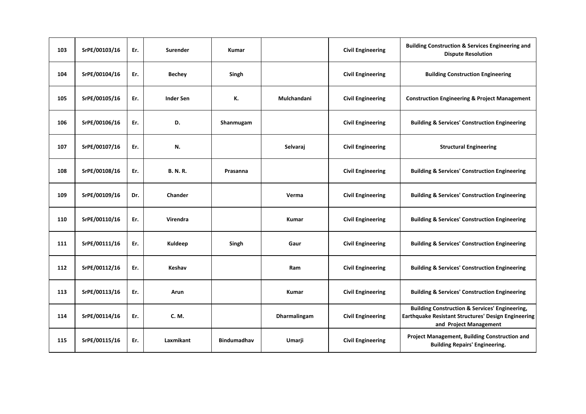| 103 | SrPE/00103/16 | Er. | Surender         | <b>Kumar</b>       |              | <b>Civil Engineering</b> | <b>Building Construction &amp; Services Engineering and</b><br><b>Dispute Resolution</b>                                                          |
|-----|---------------|-----|------------------|--------------------|--------------|--------------------------|---------------------------------------------------------------------------------------------------------------------------------------------------|
| 104 | SrPE/00104/16 | Er. | <b>Bechey</b>    | Singh              |              | <b>Civil Engineering</b> | <b>Building Construction Engineering</b>                                                                                                          |
| 105 | SrPE/00105/16 | Er. | <b>Inder Sen</b> | К.                 | Mulchandani  | <b>Civil Engineering</b> | <b>Construction Engineering &amp; Project Management</b>                                                                                          |
| 106 | SrPE/00106/16 | Er. | D.               | Shanmugam          |              | <b>Civil Engineering</b> | <b>Building &amp; Services' Construction Engineering</b>                                                                                          |
| 107 | SrPE/00107/16 | Er. | N.               |                    | Selvaraj     | <b>Civil Engineering</b> | <b>Structural Engineering</b>                                                                                                                     |
| 108 | SrPE/00108/16 | Er. | <b>B. N. R.</b>  | Prasanna           |              | <b>Civil Engineering</b> | <b>Building &amp; Services' Construction Engineering</b>                                                                                          |
| 109 | SrPE/00109/16 | Dr. | Chander          |                    | Verma        | <b>Civil Engineering</b> | <b>Building &amp; Services' Construction Engineering</b>                                                                                          |
| 110 | SrPE/00110/16 | Er. | Virendra         |                    | <b>Kumar</b> | <b>Civil Engineering</b> | <b>Building &amp; Services' Construction Engineering</b>                                                                                          |
| 111 | SrPE/00111/16 | Er. | Kuldeep          | Singh              | Gaur         | <b>Civil Engineering</b> | <b>Building &amp; Services' Construction Engineering</b>                                                                                          |
| 112 | SrPE/00112/16 | Er. | Keshav           |                    | Ram          | <b>Civil Engineering</b> | <b>Building &amp; Services' Construction Engineering</b>                                                                                          |
| 113 | SrPE/00113/16 | Er. | Arun             |                    | Kumar        | <b>Civil Engineering</b> | <b>Building &amp; Services' Construction Engineering</b>                                                                                          |
| 114 | SrPE/00114/16 | Er. | C. M.            |                    | Dharmalingam | <b>Civil Engineering</b> | <b>Building Construction &amp; Services' Engineering,</b><br><b>Earthquake Resistant Structures' Design Engineering</b><br>and Project Management |
| 115 | SrPE/00115/16 | Er. | Laxmikant        | <b>Bindumadhav</b> | Umarji       | <b>Civil Engineering</b> | Project Management, Building Construction and<br><b>Building Repairs' Engineering.</b>                                                            |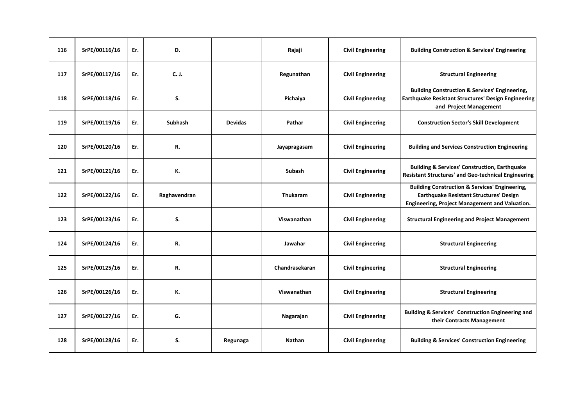| 116 | SrPE/00116/16 | Er. | D.             |                | Rajaji          | <b>Civil Engineering</b> | <b>Building Construction &amp; Services' Engineering</b>                                                                                                      |
|-----|---------------|-----|----------------|----------------|-----------------|--------------------------|---------------------------------------------------------------------------------------------------------------------------------------------------------------|
| 117 | SrPE/00117/16 | Er. | C. J.          |                | Regunathan      | <b>Civil Engineering</b> | <b>Structural Engineering</b>                                                                                                                                 |
| 118 | SrPE/00118/16 | Er. | S.             |                | Pichaiya        | <b>Civil Engineering</b> | <b>Building Construction &amp; Services' Engineering,</b><br><b>Earthquake Resistant Structures' Design Engineering</b><br>and Project Management             |
| 119 | SrPE/00119/16 | Er. | <b>Subhash</b> | <b>Devidas</b> | Pathar          | <b>Civil Engineering</b> | <b>Construction Sector's Skill Development</b>                                                                                                                |
| 120 | SrPE/00120/16 | Er. | R.             |                | Jayapragasam    | <b>Civil Engineering</b> | <b>Building and Services Construction Engineering</b>                                                                                                         |
| 121 | SrPE/00121/16 | Er. | К.             |                | Subash          | <b>Civil Engineering</b> | <b>Building &amp; Services' Construction, Earthquake</b><br><b>Resistant Structures' and Geo-technical Engineering</b>                                        |
| 122 | SrPE/00122/16 | Er. | Raghavendran   |                | <b>Thukaram</b> | <b>Civil Engineering</b> | <b>Building Construction &amp; Services' Engineering,</b><br><b>Earthquake Resistant Structures' Design</b><br>Engineering, Project Management and Valuation. |
| 123 | SrPE/00123/16 | Er. | S.             |                | Viswanathan     | <b>Civil Engineering</b> | <b>Structural Engineering and Project Management</b>                                                                                                          |
| 124 | SrPE/00124/16 | Er. | R.             |                | Jawahar         | <b>Civil Engineering</b> | <b>Structural Engineering</b>                                                                                                                                 |
| 125 | SrPE/00125/16 | Er. | R.             |                | Chandrasekaran  | <b>Civil Engineering</b> | <b>Structural Engineering</b>                                                                                                                                 |
| 126 | SrPE/00126/16 | Er. | К.             |                | Viswanathan     | <b>Civil Engineering</b> | <b>Structural Engineering</b>                                                                                                                                 |
| 127 | SrPE/00127/16 | Er. | G.             |                | Nagarajan       | <b>Civil Engineering</b> | <b>Building &amp; Services' Construction Engineering and</b><br>their Contracts Management                                                                    |
| 128 | SrPE/00128/16 | Er. | S.             | Regunaga       | <b>Nathan</b>   | <b>Civil Engineering</b> | <b>Building &amp; Services' Construction Engineering</b>                                                                                                      |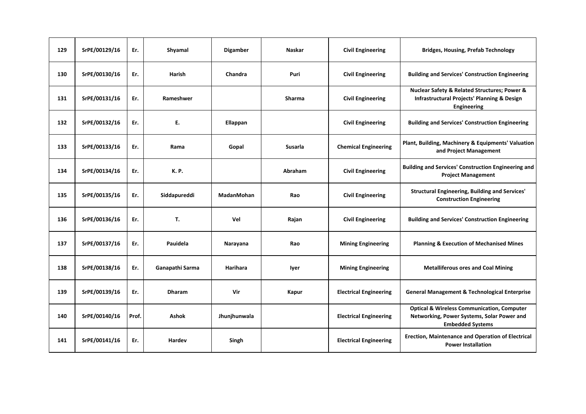| 129 | SrPE/00129/16 | Er.   | Shyamal         | <b>Digamber</b>   | <b>Naskar</b>  | <b>Civil Engineering</b>      | <b>Bridges, Housing, Prefab Technology</b>                                                                                     |
|-----|---------------|-------|-----------------|-------------------|----------------|-------------------------------|--------------------------------------------------------------------------------------------------------------------------------|
| 130 | SrPE/00130/16 | Er.   | Harish          | Chandra           | Puri           | <b>Civil Engineering</b>      | <b>Building and Services' Construction Engineering</b>                                                                         |
| 131 | SrPE/00131/16 | Er.   | Rameshwer       |                   | Sharma         | <b>Civil Engineering</b>      | Nuclear Safety & Related Structures; Power &<br><b>Infrastructural Projects' Planning &amp; Design</b><br>Engineering          |
| 132 | SrPE/00132/16 | Er.   | Ε.              | Ellappan          |                | <b>Civil Engineering</b>      | <b>Building and Services' Construction Engineering</b>                                                                         |
| 133 | SrPE/00133/16 | Er.   | Rama            | Gopal             | <b>Susarla</b> | <b>Chemical Engineering</b>   | Plant, Building, Machinery & Equipments' Valuation<br>and Project Management                                                   |
| 134 | SrPE/00134/16 | Er.   | <b>K.P.</b>     |                   | Abraham        | <b>Civil Engineering</b>      | <b>Building and Services' Construction Engineering and</b><br><b>Project Management</b>                                        |
| 135 | SrPE/00135/16 | Er.   | Siddapureddi    | <b>MadanMohan</b> | Rao            | <b>Civil Engineering</b>      | <b>Structural Engineering, Building and Services'</b><br><b>Construction Engineering</b>                                       |
| 136 | SrPE/00136/16 | Er.   | Т.              | Vel               | Rajan          | <b>Civil Engineering</b>      | <b>Building and Services' Construction Engineering</b>                                                                         |
| 137 | SrPE/00137/16 | Er.   | Pauidela        | Narayana          | Rao            | <b>Mining Engineering</b>     | <b>Planning &amp; Execution of Mechanised Mines</b>                                                                            |
| 138 | SrPE/00138/16 | Er.   | Ganapathi Sarma | Harihara          | lyer           | <b>Mining Engineering</b>     | <b>Metalliferous ores and Coal Mining</b>                                                                                      |
| 139 | SrPE/00139/16 | Er.   | <b>Dharam</b>   | Vir               | Kapur          | <b>Electrical Engineering</b> | <b>General Management &amp; Technological Enterprise</b>                                                                       |
| 140 | SrPE/00140/16 | Prof. | <b>Ashok</b>    | Jhunjhunwala      |                | <b>Electrical Engineering</b> | <b>Optical &amp; Wireless Communication, Computer</b><br>Networking, Power Systems, Solar Power and<br><b>Embedded Systems</b> |
| 141 | SrPE/00141/16 | Er.   | Hardev          | Singh             |                | <b>Electrical Engineering</b> | <b>Erection, Maintenance and Operation of Electrical</b><br><b>Power Installation</b>                                          |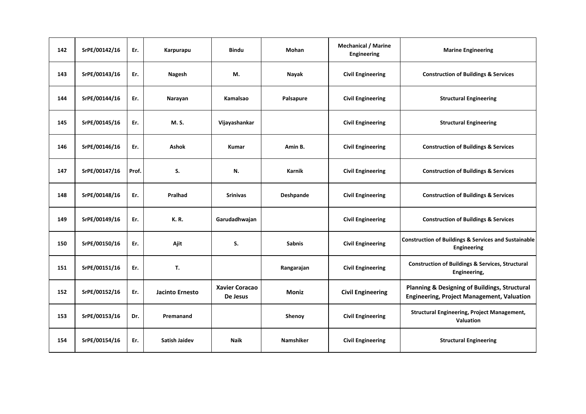| 142 | SrPE/00142/16 | Er.   | Karpurapu              | <b>Bindu</b>                      | Mohan            | <b>Mechanical / Marine</b><br>Engineering | <b>Marine Engineering</b>                                                                                     |
|-----|---------------|-------|------------------------|-----------------------------------|------------------|-------------------------------------------|---------------------------------------------------------------------------------------------------------------|
| 143 | SrPE/00143/16 | Er.   | Nagesh                 | М.                                | Nayak            | <b>Civil Engineering</b>                  | <b>Construction of Buildings &amp; Services</b>                                                               |
| 144 | SrPE/00144/16 | Er.   | Narayan                | Kamalsao                          | Palsapure        | <b>Civil Engineering</b>                  | <b>Structural Engineering</b>                                                                                 |
| 145 | SrPE/00145/16 | Er.   | M. S.                  | Vijayashankar                     |                  | <b>Civil Engineering</b>                  | <b>Structural Engineering</b>                                                                                 |
| 146 | SrPE/00146/16 | Er.   | <b>Ashok</b>           | <b>Kumar</b>                      | Amin B.          | <b>Civil Engineering</b>                  | <b>Construction of Buildings &amp; Services</b>                                                               |
| 147 | SrPE/00147/16 | Prof. | S.                     | N.                                | <b>Karnik</b>    | <b>Civil Engineering</b>                  | <b>Construction of Buildings &amp; Services</b>                                                               |
| 148 | SrPE/00148/16 | Er.   | Pralhad                | <b>Srinivas</b>                   | Deshpande        | <b>Civil Engineering</b>                  | <b>Construction of Buildings &amp; Services</b>                                                               |
| 149 | SrPE/00149/16 | Er.   | K.R.                   | Garudadhwajan                     |                  | <b>Civil Engineering</b>                  | <b>Construction of Buildings &amp; Services</b>                                                               |
| 150 | SrPE/00150/16 | Er.   | Ajit                   | S.                                | <b>Sabnis</b>    | <b>Civil Engineering</b>                  | <b>Construction of Buildings &amp; Services and Sustainable</b><br>Engineering                                |
| 151 | SrPE/00151/16 | Er.   | T.                     |                                   | Rangarajan       | <b>Civil Engineering</b>                  | <b>Construction of Buildings &amp; Services, Structural</b><br>Engineering,                                   |
| 152 | SrPE/00152/16 | Er.   | <b>Jacinto Ernesto</b> | <b>Xavier Coracao</b><br>De Jesus | Moniz            | <b>Civil Engineering</b>                  | <b>Planning &amp; Designing of Buildings, Structural</b><br><b>Engineering, Project Management, Valuation</b> |
| 153 | SrPE/00153/16 | Dr.   | Premanand              |                                   | Shenoy           | <b>Civil Engineering</b>                  | <b>Structural Engineering, Project Management,</b><br>Valuation                                               |
| 154 | SrPE/00154/16 | Er.   | <b>Satish Jaidev</b>   | <b>Naik</b>                       | <b>Namshiker</b> | <b>Civil Engineering</b>                  | <b>Structural Engineering</b>                                                                                 |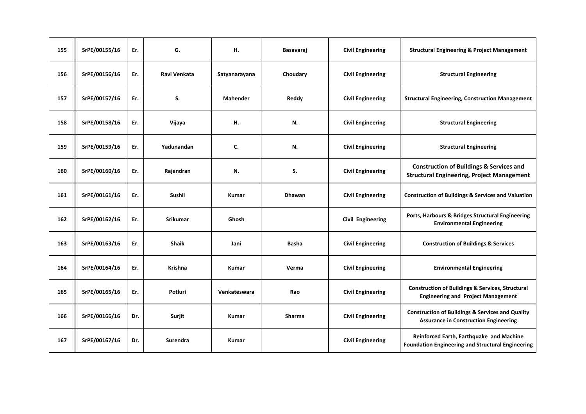| 155 | SrPE/00155/16 | Er. | G.              | Н.              | Basavaraj     | <b>Civil Engineering</b> | <b>Structural Engineering &amp; Project Management</b>                                                      |
|-----|---------------|-----|-----------------|-----------------|---------------|--------------------------|-------------------------------------------------------------------------------------------------------------|
| 156 | SrPE/00156/16 | Er. | Ravi Venkata    | Satyanarayana   | Choudary      | <b>Civil Engineering</b> | <b>Structural Engineering</b>                                                                               |
| 157 | SrPE/00157/16 | Er. | S.              | <b>Mahender</b> | Reddy         | <b>Civil Engineering</b> | <b>Structural Engineering, Construction Management</b>                                                      |
| 158 | SrPE/00158/16 | Er. | Vijaya          | н.              | N.            | <b>Civil Engineering</b> | <b>Structural Engineering</b>                                                                               |
| 159 | SrPE/00159/16 | Er. | Yadunandan      | C.              | N.            | <b>Civil Engineering</b> | <b>Structural Engineering</b>                                                                               |
| 160 | SrPE/00160/16 | Er. | Rajendran       | N.              | S.            | <b>Civil Engineering</b> | <b>Construction of Buildings &amp; Services and</b><br><b>Structural Engineering, Project Management</b>    |
| 161 | SrPE/00161/16 | Er. | <b>Sushil</b>   | <b>Kumar</b>    | <b>Dhawan</b> | <b>Civil Engineering</b> | <b>Construction of Buildings &amp; Services and Valuation</b>                                               |
| 162 | SrPE/00162/16 | Er. | <b>Srikumar</b> | Ghosh           |               | <b>Civil Engineering</b> | Ports, Harbours & Bridges Structural Engineering<br><b>Environmental Engineering</b>                        |
| 163 | SrPE/00163/16 | Er. | <b>Shaik</b>    | Jani            | <b>Basha</b>  | <b>Civil Engineering</b> | <b>Construction of Buildings &amp; Services</b>                                                             |
| 164 | SrPE/00164/16 | Er. | <b>Krishna</b>  | <b>Kumar</b>    | Verma         | <b>Civil Engineering</b> | <b>Environmental Engineering</b>                                                                            |
| 165 | SrPE/00165/16 | Er. | Potluri         | Venkateswara    | Rao           | <b>Civil Engineering</b> | <b>Construction of Buildings &amp; Services, Structural</b><br><b>Engineering and Project Management</b>    |
| 166 | SrPE/00166/16 | Dr. | Surjit          | <b>Kumar</b>    | Sharma        | <b>Civil Engineering</b> | <b>Construction of Buildings &amp; Services and Quality</b><br><b>Assurance in Construction Engineering</b> |
| 167 | SrPE/00167/16 | Dr. | <b>Surendra</b> | <b>Kumar</b>    |               | <b>Civil Engineering</b> | Reinforced Earth, Earthquake and Machine<br><b>Foundation Engineering and Structural Engineering</b>        |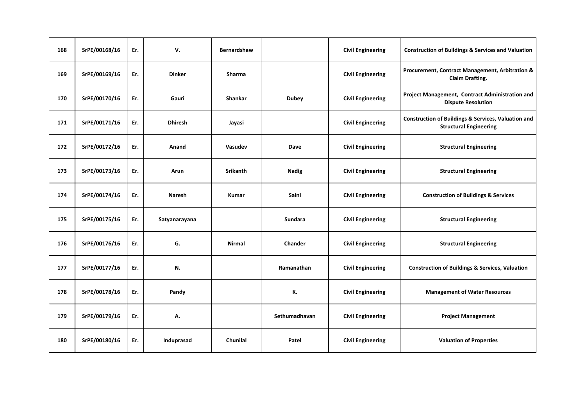| 168 | SrPE/00168/16 | Er. | v.             | <b>Bernardshaw</b> |               | <b>Civil Engineering</b> | <b>Construction of Buildings &amp; Services and Valuation</b>                                   |
|-----|---------------|-----|----------------|--------------------|---------------|--------------------------|-------------------------------------------------------------------------------------------------|
| 169 | SrPE/00169/16 | Er. | <b>Dinker</b>  | <b>Sharma</b>      |               | <b>Civil Engineering</b> | Procurement, Contract Management, Arbitration &<br><b>Claim Drafting.</b>                       |
| 170 | SrPE/00170/16 | Er. | Gauri          | <b>Shankar</b>     | <b>Dubey</b>  | <b>Civil Engineering</b> | Project Management, Contract Administration and<br><b>Dispute Resolution</b>                    |
| 171 | SrPE/00171/16 | Er. | <b>Dhiresh</b> | Jayasi             |               | <b>Civil Engineering</b> | <b>Construction of Buildings &amp; Services, Valuation and</b><br><b>Structural Engineering</b> |
| 172 | SrPE/00172/16 | Er. | Anand          | Vasudev            | Dave          | <b>Civil Engineering</b> | <b>Structural Engineering</b>                                                                   |
| 173 | SrPE/00173/16 | Er. | Arun           | <b>Srikanth</b>    | <b>Nadig</b>  | <b>Civil Engineering</b> | <b>Structural Engineering</b>                                                                   |
| 174 | SrPE/00174/16 | Er. | <b>Naresh</b>  | Kumar              | Saini         | <b>Civil Engineering</b> | <b>Construction of Buildings &amp; Services</b>                                                 |
| 175 | SrPE/00175/16 | Er. | Satyanarayana  |                    | Sundara       | <b>Civil Engineering</b> | <b>Structural Engineering</b>                                                                   |
| 176 | SrPE/00176/16 | Er. | G.             | <b>Nirmal</b>      | Chander       | <b>Civil Engineering</b> | <b>Structural Engineering</b>                                                                   |
| 177 | SrPE/00177/16 | Er. | N.             |                    | Ramanathan    | <b>Civil Engineering</b> | <b>Construction of Buildings &amp; Services, Valuation</b>                                      |
| 178 | SrPE/00178/16 | Er. | Pandy          |                    | К.            | <b>Civil Engineering</b> | <b>Management of Water Resources</b>                                                            |
| 179 | SrPE/00179/16 | Er. | А.             |                    | Sethumadhavan | <b>Civil Engineering</b> | <b>Project Management</b>                                                                       |
| 180 | SrPE/00180/16 | Er. | Induprasad     | Chunilal           | Patel         | <b>Civil Engineering</b> | <b>Valuation of Properties</b>                                                                  |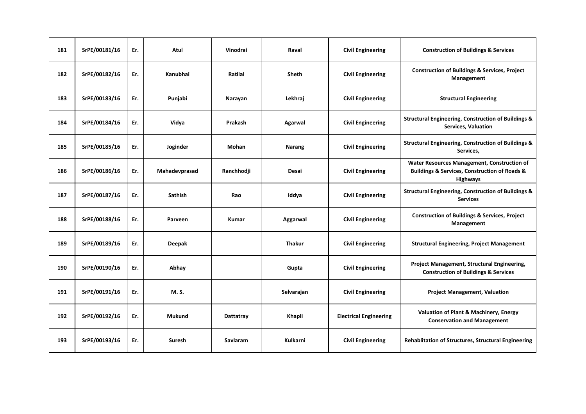| 181 | SrPE/00181/16 | Er. | Atul          | Vinodrai        | Raval           | <b>Civil Engineering</b>      | <b>Construction of Buildings &amp; Services</b>                                                                                |
|-----|---------------|-----|---------------|-----------------|-----------------|-------------------------------|--------------------------------------------------------------------------------------------------------------------------------|
| 182 | SrPE/00182/16 | Er. | Kanubhai      | Ratilal         | <b>Sheth</b>    | <b>Civil Engineering</b>      | <b>Construction of Buildings &amp; Services, Project</b><br>Management                                                         |
| 183 | SrPE/00183/16 | Er. | Punjabi       | Narayan         | Lekhraj         | <b>Civil Engineering</b>      | <b>Structural Engineering</b>                                                                                                  |
| 184 | SrPE/00184/16 | Er. | Vidya         | Prakash         | Agarwal         | <b>Civil Engineering</b>      | <b>Structural Engineering, Construction of Buildings &amp;</b><br><b>Services, Valuation</b>                                   |
| 185 | SrPE/00185/16 | Er. | Joginder      | Mohan           | <b>Narang</b>   | <b>Civil Engineering</b>      | <b>Structural Engineering, Construction of Buildings &amp;</b><br>Services,                                                    |
| 186 | SrPE/00186/16 | Er. | Mahadevprasad | Ranchhodji      | Desai           | <b>Civil Engineering</b>      | Water Resources Management, Construction of<br><b>Buildings &amp; Services, Construction of Roads &amp;</b><br><b>Highways</b> |
| 187 | SrPE/00187/16 | Er. | Sathish       | Rao             | Iddya           | <b>Civil Engineering</b>      | <b>Structural Engineering, Construction of Buildings &amp;</b><br><b>Services</b>                                              |
| 188 | SrPE/00188/16 | Er. | Parveen       | <b>Kumar</b>    | Aggarwal        | <b>Civil Engineering</b>      | <b>Construction of Buildings &amp; Services, Project</b><br>Management                                                         |
| 189 | SrPE/00189/16 | Er. | <b>Deepak</b> |                 | <b>Thakur</b>   | <b>Civil Engineering</b>      | <b>Structural Engineering, Project Management</b>                                                                              |
| 190 | SrPE/00190/16 | Er. | Abhay         |                 | Gupta           | <b>Civil Engineering</b>      | Project Management, Structural Engineering,<br><b>Construction of Buildings &amp; Services</b>                                 |
| 191 | SrPE/00191/16 | Er. | M. S.         |                 | Selvarajan      | <b>Civil Engineering</b>      | <b>Project Management, Valuation</b>                                                                                           |
| 192 | SrPE/00192/16 | Er. | <b>Mukund</b> | Dattatray       | Khapli          | <b>Electrical Engineering</b> | <b>Valuation of Plant &amp; Machinery, Energy</b><br><b>Conservation and Management</b>                                        |
| 193 | SrPE/00193/16 | Er. | <b>Suresh</b> | <b>Savlaram</b> | <b>Kulkarni</b> | <b>Civil Engineering</b>      | <b>Rehablitation of Structures, Structural Engineering</b>                                                                     |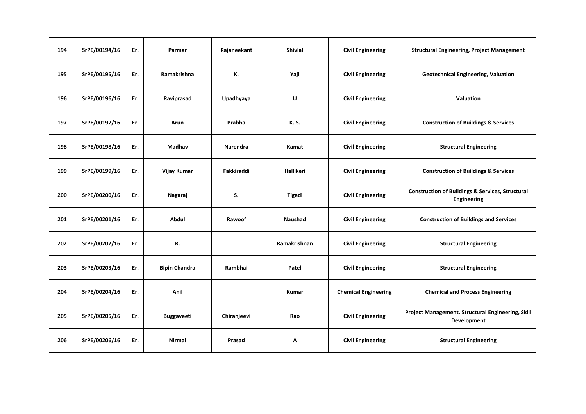| 194 | SrPE/00194/16 | Er. | Parmar               | Rajaneekant | <b>Shivlal</b> | <b>Civil Engineering</b>    | <b>Structural Engineering, Project Management</b>                          |
|-----|---------------|-----|----------------------|-------------|----------------|-----------------------------|----------------------------------------------------------------------------|
| 195 | SrPE/00195/16 | Er. | Ramakrishna          | К.          | Yaji           | <b>Civil Engineering</b>    | <b>Geotechnical Engineering, Valuation</b>                                 |
| 196 | SrPE/00196/16 | Er. | Raviprasad           | Upadhyaya   | U              | <b>Civil Engineering</b>    | Valuation                                                                  |
| 197 | SrPE/00197/16 | Er. | Arun                 | Prabha      | K. S.          | <b>Civil Engineering</b>    | <b>Construction of Buildings &amp; Services</b>                            |
| 198 | SrPE/00198/16 | Er. | Madhav               | Narendra    | Kamat          | <b>Civil Engineering</b>    | <b>Structural Engineering</b>                                              |
| 199 | SrPE/00199/16 | Er. | Vijay Kumar          | Fakkiraddi  | Hallikeri      | <b>Civil Engineering</b>    | <b>Construction of Buildings &amp; Services</b>                            |
| 200 | SrPE/00200/16 | Er. | Nagaraj              | S.          | Tigadi         | <b>Civil Engineering</b>    | <b>Construction of Buildings &amp; Services, Structural</b><br>Engineering |
| 201 | SrPE/00201/16 | Er. | Abdul                | Rawoof      | Naushad        | <b>Civil Engineering</b>    | <b>Construction of Buildings and Services</b>                              |
| 202 | SrPE/00202/16 | Er. | R.                   |             | Ramakrishnan   | <b>Civil Engineering</b>    | <b>Structural Engineering</b>                                              |
| 203 | SrPE/00203/16 | Er. | <b>Bipin Chandra</b> | Rambhai     | Patel          | <b>Civil Engineering</b>    | <b>Structural Engineering</b>                                              |
| 204 | SrPE/00204/16 | Er. | Anil                 |             | <b>Kumar</b>   | <b>Chemical Engineering</b> | <b>Chemical and Process Engineering</b>                                    |
| 205 | SrPE/00205/16 | Er. | <b>Buggaveeti</b>    | Chiranjeevi | Rao            | <b>Civil Engineering</b>    | Project Management, Structural Engineering, Skill<br>Development           |
| 206 | SrPE/00206/16 | Er. | <b>Nirmal</b>        | Prasad      | Α              | <b>Civil Engineering</b>    | <b>Structural Engineering</b>                                              |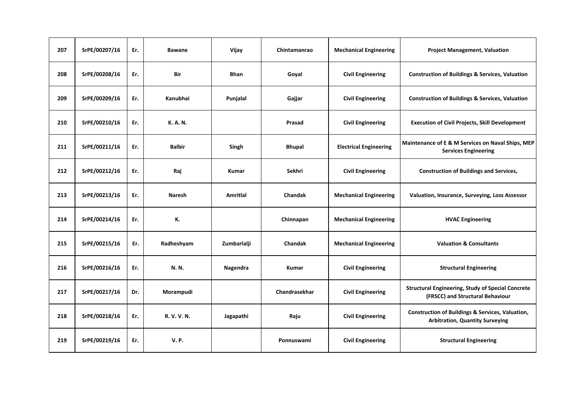| 207 | SrPE/00207/16 | Er. | <b>Bawane</b> | Vijay           | Chintamanrao   | <b>Mechanical Engineering</b> | <b>Project Management, Valuation</b>                                                                  |
|-----|---------------|-----|---------------|-----------------|----------------|-------------------------------|-------------------------------------------------------------------------------------------------------|
| 208 | SrPE/00208/16 | Er. | Bir           | <b>Bhan</b>     | Goyal          | <b>Civil Engineering</b>      | <b>Construction of Buildings &amp; Services, Valuation</b>                                            |
| 209 | SrPE/00209/16 | Er. | Kanubhai      | Punjalal        | Gajjar         | <b>Civil Engineering</b>      | <b>Construction of Buildings &amp; Services, Valuation</b>                                            |
| 210 | SrPE/00210/16 | Er. | K. A. N.      |                 | Prasad         | <b>Civil Engineering</b>      | <b>Execution of Civil Projects, Skill Development</b>                                                 |
| 211 | SrPE/00211/16 | Er. | <b>Balbir</b> | Singh           | <b>Bhupal</b>  | <b>Electrical Engineering</b> | Maintenance of E & M Services on Naval Ships, MEP<br><b>Services Engineering</b>                      |
| 212 | SrPE/00212/16 | Er. | Raj           | <b>Kumar</b>    | Sekhri         | <b>Civil Engineering</b>      | <b>Construction of Buildings and Services,</b>                                                        |
| 213 | SrPE/00213/16 | Er. | <b>Naresh</b> | <b>Amritial</b> | <b>Chandak</b> | <b>Mechanical Engineering</b> | Valuation, Insurance, Surveying, Loss Assessor                                                        |
| 214 | SrPE/00214/16 | Er. | К.            |                 | Chinnapan      | <b>Mechanical Engineering</b> | <b>HVAC Engineering</b>                                                                               |
| 215 | SrPE/00215/16 | Er. | Radheshyam    | Zumbarlalji     | Chandak        | <b>Mechanical Engineering</b> | <b>Valuation &amp; Consultants</b>                                                                    |
| 216 | SrPE/00216/16 | Er. | N. N.         | Nagendra        | <b>Kumar</b>   | <b>Civil Engineering</b>      | <b>Structural Engineering</b>                                                                         |
| 217 | SrPE/00217/16 | Dr. | Morampudi     |                 | Chandrasekhar  | <b>Civil Engineering</b>      | <b>Structural Engineering, Study of Special Concrete</b><br>(FRSCC) and Structural Behaviour          |
| 218 | SrPE/00218/16 | Er. | R. V. V. N.   | Jagapathi       | Raju           | <b>Civil Engineering</b>      | <b>Construction of Buildings &amp; Services, Valuation,</b><br><b>Arbitration, Quantity Surveying</b> |
| 219 | SrPE/00219/16 | Er. | <b>V.P.</b>   |                 | Ponnuswami     | <b>Civil Engineering</b>      | <b>Structural Engineering</b>                                                                         |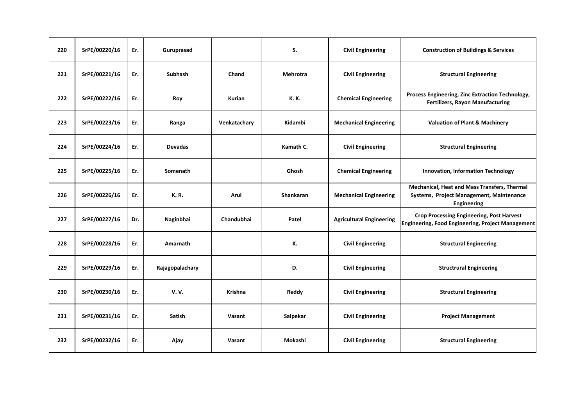| 220 | SrPE/00220/16 | Er. | Guruprasad      |                | S.              | <b>Civil Engineering</b>        | <b>Construction of Buildings &amp; Services</b>                                                              |
|-----|---------------|-----|-----------------|----------------|-----------------|---------------------------------|--------------------------------------------------------------------------------------------------------------|
| 221 | SrPE/00221/16 | Er. | <b>Subhash</b>  | Chand          | <b>Mehrotra</b> | <b>Civil Engineering</b>        | <b>Structural Engineering</b>                                                                                |
| 222 | SrPE/00222/16 | Er. | Roy             | <b>Kurian</b>  | K. K.           | <b>Chemical Engineering</b>     | Process Engineering, Zinc Extraction Technology,<br><b>Fertilizers, Rayon Manufacturing</b>                  |
| 223 | SrPE/00223/16 | Er. | Ranga           | Venkatachary   | Kidambi         | <b>Mechanical Engineering</b>   | <b>Valuation of Plant &amp; Machinery</b>                                                                    |
| 224 | SrPE/00224/16 | Er. | <b>Devadas</b>  |                | Kamath C.       | <b>Civil Engineering</b>        | <b>Structural Engineering</b>                                                                                |
| 225 | SrPE/00225/16 | Er. | Somenath        |                | Ghosh           | <b>Chemical Engineering</b>     | Innovation, Information Technology                                                                           |
| 226 | SrPE/00226/16 | Er. | <b>K.R.</b>     | Arul           | Shankaran       | <b>Mechanical Engineering</b>   | Mechanical, Heat and Mass Transfers, Thermal<br>Systems, Project Management, Maintenance<br>Engineering      |
| 227 | SrPE/00227/16 | Dr. | Naginbhai       | Chandubhai     | Patel           | <b>Agricultural Engineering</b> | <b>Crop Processing Engineering, Post Harvest</b><br><b>Engineering, Food Engineering, Project Management</b> |
| 228 | SrPE/00228/16 | Er. | Amarnath        |                | К.              | <b>Civil Engineering</b>        | <b>Structural Engineering</b>                                                                                |
| 229 | SrPE/00229/16 | Er. | Rajagopalachary |                | D.              | <b>Civil Engineering</b>        | <b>Structrural Engineering</b>                                                                               |
| 230 | SrPE/00230/16 | Er. | <b>V.V.</b>     | <b>Krishna</b> | Reddy           | <b>Civil Engineering</b>        | <b>Structural Engineering</b>                                                                                |
| 231 | SrPE/00231/16 | Er. | <b>Satish</b>   | Vasant         | Salpekar        | <b>Civil Engineering</b>        | <b>Project Management</b>                                                                                    |
| 232 | SrPE/00232/16 | Er. | Ajay            | Vasant         | Mokashi         | <b>Civil Engineering</b>        | <b>Structural Engineering</b>                                                                                |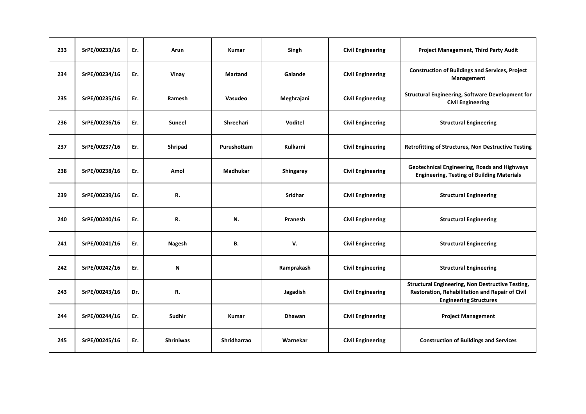| 233 | SrPE/00233/16 | Er. | Arun             | <b>Kumar</b>       | Singh           | <b>Civil Engineering</b> | <b>Project Management, Third Party Audit</b>                                                                                         |
|-----|---------------|-----|------------------|--------------------|-----------------|--------------------------|--------------------------------------------------------------------------------------------------------------------------------------|
| 234 | SrPE/00234/16 | Er. | Vinay            | <b>Martand</b>     | Galande         | <b>Civil Engineering</b> | <b>Construction of Buildings and Services, Project</b><br>Management                                                                 |
| 235 | SrPE/00235/16 | Er. | Ramesh           | Vasudeo            | Meghrajani      | <b>Civil Engineering</b> | <b>Structural Engineering, Software Development for</b><br><b>Civil Engineering</b>                                                  |
| 236 | SrPE/00236/16 | Er. | <b>Suneel</b>    | Shreehari          | Voditel         | <b>Civil Engineering</b> | <b>Structural Engineering</b>                                                                                                        |
| 237 | SrPE/00237/16 | Er. | Shripad          | Purushottam        | <b>Kulkarni</b> | <b>Civil Engineering</b> | Retrofitting of Structures, Non Destructive Testing                                                                                  |
| 238 | SrPE/00238/16 | Er. | Amol             | <b>Madhukar</b>    | Shingarey       | <b>Civil Engineering</b> | Geotechnical Engineering, Roads and Highways<br><b>Engineering, Testing of Building Materials</b>                                    |
| 239 | SrPE/00239/16 | Er. | R.               |                    | Sridhar         | <b>Civil Engineering</b> | <b>Structural Engineering</b>                                                                                                        |
| 240 | SrPE/00240/16 | Er. | R.               | N.                 | Pranesh         | <b>Civil Engineering</b> | <b>Structural Engineering</b>                                                                                                        |
| 241 | SrPE/00241/16 | Er. | <b>Nagesh</b>    | В.                 | V.              | <b>Civil Engineering</b> | <b>Structural Engineering</b>                                                                                                        |
| 242 | SrPE/00242/16 | Er. | N                |                    | Ramprakash      | <b>Civil Engineering</b> | <b>Structural Engineering</b>                                                                                                        |
| 243 | SrPE/00243/16 | Dr. | R.               |                    | Jagadish        | <b>Civil Engineering</b> | Structural Engineering, Non Destructive Testing,<br>Restoration, Rehabilitation and Repair of Civil<br><b>Engineering Structures</b> |
| 244 | SrPE/00244/16 | Er. | Sudhir           | <b>Kumar</b>       | <b>Dhawan</b>   | <b>Civil Engineering</b> | <b>Project Management</b>                                                                                                            |
| 245 | SrPE/00245/16 | Er. | <b>Shriniwas</b> | <b>Shridharrao</b> | Warnekar        | <b>Civil Engineering</b> | <b>Construction of Buildings and Services</b>                                                                                        |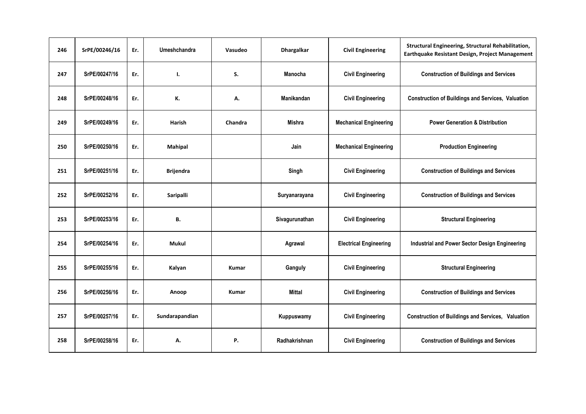| 246 | SrPE/00246/16 | Er. | Umeshchandra     | Vasudeo      | <b>Dhargalkar</b> | <b>Civil Engineering</b>      | Structural Engineering, Structural Rehabilitation,<br>Earthquake Resistant Design, Project Management |
|-----|---------------|-----|------------------|--------------|-------------------|-------------------------------|-------------------------------------------------------------------------------------------------------|
| 247 | SrPE/00247/16 | Er. | Ι.               | S.           | Manocha           | <b>Civil Engineering</b>      | <b>Construction of Buildings and Services</b>                                                         |
| 248 | SrPE/00248/16 | Er. | К.               | А.           | Manikandan        | <b>Civil Engineering</b>      | <b>Construction of Buildings and Services, Valuation</b>                                              |
| 249 | SrPE/00249/16 | Er. | Harish           | Chandra      | Mishra            | <b>Mechanical Engineering</b> | <b>Power Generation &amp; Distribution</b>                                                            |
| 250 | SrPE/00250/16 | Er. | <b>Mahipal</b>   |              | Jain              | <b>Mechanical Engineering</b> | <b>Production Engineering</b>                                                                         |
| 251 | SrPE/00251/16 | Er. | <b>Brijendra</b> |              | Singh             | <b>Civil Engineering</b>      | <b>Construction of Buildings and Services</b>                                                         |
| 252 | SrPE/00252/16 | Er. | Saripalli        |              | Suryanarayana     | <b>Civil Engineering</b>      | <b>Construction of Buildings and Services</b>                                                         |
| 253 | SrPE/00253/16 | Er. | В.               |              | Sivagurunathan    | <b>Civil Engineering</b>      | <b>Structural Engineering</b>                                                                         |
| 254 | SrPE/00254/16 | Er. | <b>Mukul</b>     |              | Agrawal           | <b>Electrical Engineering</b> | Industrial and Power Sector Design Engineering                                                        |
| 255 | SrPE/00255/16 | Er. | Kalyan           | <b>Kumar</b> | Ganguly           | <b>Civil Engineering</b>      | <b>Structural Engineering</b>                                                                         |
| 256 | SrPE/00256/16 | Er. | Anoop            | <b>Kumar</b> | <b>Mittal</b>     | <b>Civil Engineering</b>      | <b>Construction of Buildings and Services</b>                                                         |
| 257 | SrPE/00257/16 | Er. | Sundarapandian   |              | Kuppuswamy        | <b>Civil Engineering</b>      | <b>Construction of Buildings and Services, Valuation</b>                                              |
| 258 | SrPE/00258/16 | Er. | А.               | Ρ.           | Radhakrishnan     | <b>Civil Engineering</b>      | <b>Construction of Buildings and Services</b>                                                         |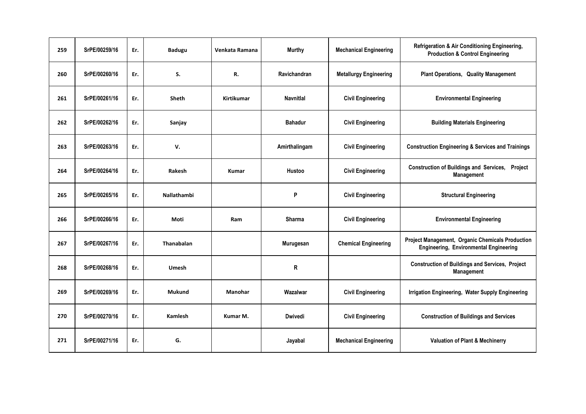| 259 | SrPE/00259/16 | Er. | <b>Badugu</b>      | Venkata Ramana    | <b>Murthy</b>    | <b>Mechanical Engineering</b> | Refrigeration & Air Conditioning Engineering,<br><b>Production &amp; Control Engineering</b>      |
|-----|---------------|-----|--------------------|-------------------|------------------|-------------------------------|---------------------------------------------------------------------------------------------------|
| 260 | SrPE/00260/16 | Er. | S.                 | R.                | Ravichandran     | <b>Metallurgy Engineering</b> | <b>Plant Operations, Quality Management</b>                                                       |
| 261 | SrPE/00261/16 | Er. | <b>Sheth</b>       | <b>Kirtikumar</b> | <b>Navnitlal</b> | <b>Civil Engineering</b>      | <b>Environmental Engineering</b>                                                                  |
| 262 | SrPE/00262/16 | Er. | Sanjay             |                   | <b>Bahadur</b>   | <b>Civil Engineering</b>      | <b>Building Materials Engineering</b>                                                             |
| 263 | SrPE/00263/16 | Er. | V.                 |                   | Amirthalingam    | <b>Civil Engineering</b>      | <b>Construction Engineering &amp; Services and Trainings</b>                                      |
| 264 | SrPE/00264/16 | Er. | Rakesh             | <b>Kumar</b>      | Hustoo           | <b>Civil Engineering</b>      | Construction of Buildings and Services, Project<br>Management                                     |
| 265 | SrPE/00265/16 | Er. | <b>Nallathambi</b> |                   | P                | <b>Civil Engineering</b>      | <b>Structural Engineering</b>                                                                     |
| 266 | SrPE/00266/16 | Er. | Moti               | Ram               | Sharma           | <b>Civil Engineering</b>      | <b>Environmental Engineering</b>                                                                  |
| 267 | SrPE/00267/16 | Er. | <b>Thanabalan</b>  |                   | Murugesan        | <b>Chemical Engineering</b>   | Project Management, Organic Chemicals Production<br><b>Engineering, Environmental Engineering</b> |
| 268 | SrPE/00268/16 | Er. | Umesh              |                   | R                |                               | <b>Construction of Buildings and Services, Project</b><br>Management                              |
| 269 | SrPE/00269/16 | Er. | <b>Mukund</b>      | Manohar           | Wazalwar         | <b>Civil Engineering</b>      | Irrigation Engineering, Water Supply Engineering                                                  |
| 270 | SrPE/00270/16 | Er. | <b>Kamlesh</b>     | Kumar M.          | <b>Dwivedi</b>   | <b>Civil Engineering</b>      | <b>Construction of Buildings and Services</b>                                                     |
| 271 | SrPE/00271/16 | Er. | G.                 |                   | Jayabal          | <b>Mechanical Engineering</b> | <b>Valuation of Plant &amp; Mechinerry</b>                                                        |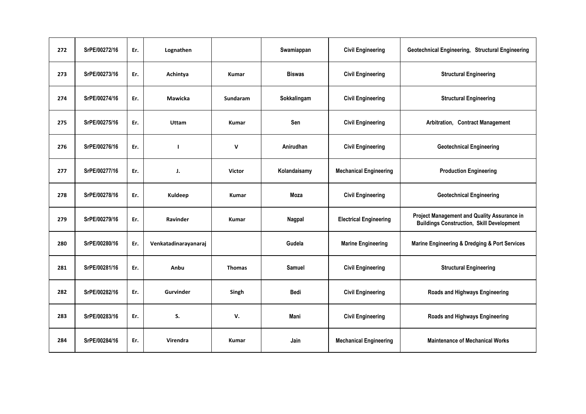| 272 | SrPE/00272/16 | Er. | Lognathen            |                 | Swamiappan    | <b>Civil Engineering</b>      | Geotechnical Engineering, Structural Engineering                                                |
|-----|---------------|-----|----------------------|-----------------|---------------|-------------------------------|-------------------------------------------------------------------------------------------------|
| 273 | SrPE/00273/16 | Er. | Achintya             | Kumar           | <b>Biswas</b> | <b>Civil Engineering</b>      | <b>Structural Engineering</b>                                                                   |
| 274 | SrPE/00274/16 | Er. | Mawicka              | <b>Sundaram</b> | Sokkalingam   | <b>Civil Engineering</b>      | <b>Structural Engineering</b>                                                                   |
| 275 | SrPE/00275/16 | Er. | Uttam                | <b>Kumar</b>    | Sen           | <b>Civil Engineering</b>      | Arbitration, Contract Management                                                                |
| 276 | SrPE/00276/16 | Er. |                      | $\mathsf{v}$    | Anirudhan     | <b>Civil Engineering</b>      | <b>Geotechnical Engineering</b>                                                                 |
| 277 | SrPE/00277/16 | Er. | J.                   | <b>Victor</b>   | Kolandaisamy  | <b>Mechanical Engineering</b> | <b>Production Engineering</b>                                                                   |
| 278 | SrPE/00278/16 | Er. | Kuldeep              | Kumar           | Moza          | <b>Civil Engineering</b>      | <b>Geotechnical Engineering</b>                                                                 |
| 279 | SrPE/00279/16 | Er. | Ravinder             | <b>Kumar</b>    | Nagpal        | <b>Electrical Engineering</b> | Project Management and Quality Assurance in<br><b>Buildings Construction, Skill Development</b> |
| 280 | SrPE/00280/16 | Er. | Venkatadinarayanaraj |                 | Gudela        | <b>Marine Engineering</b>     | Marine Engineering & Dredging & Port Services                                                   |
| 281 | SrPE/00281/16 | Er. | Anbu                 | <b>Thomas</b>   | <b>Samuel</b> | <b>Civil Engineering</b>      | <b>Structural Engineering</b>                                                                   |
| 282 | SrPE/00282/16 | Er. | Gurvinder            | Singh           | <b>Bedi</b>   | <b>Civil Engineering</b>      | Roads and Highways Engineering                                                                  |
| 283 | SrPE/00283/16 | Er. | S.                   | v.              | Mani          | <b>Civil Engineering</b>      | Roads and Highways Engineering                                                                  |
| 284 | SrPE/00284/16 | Er. | <b>Virendra</b>      | <b>Kumar</b>    | Jain          | <b>Mechanical Engineering</b> | <b>Maintenance of Mechanical Works</b>                                                          |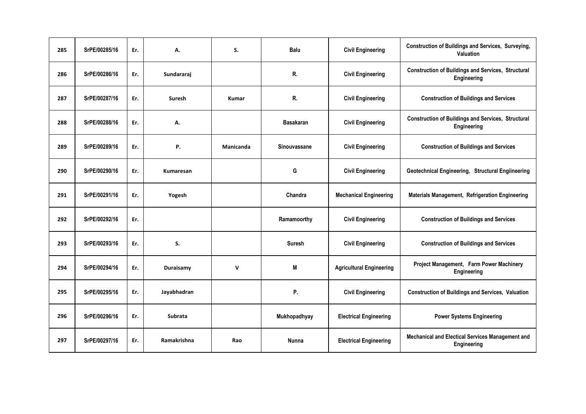| 285 | SrPE/00285/16 | Er. | А.                 | S.           | <b>Balu</b>      | <b>Civil Engineering</b>        | Construction of Buildings and Services, Surveying,<br>Valuation          |
|-----|---------------|-----|--------------------|--------------|------------------|---------------------------------|--------------------------------------------------------------------------|
| 286 | SrPE/00286/16 | Er. | Sundararaj         |              | R.               | <b>Civil Engineering</b>        | <b>Construction of Buildings and Services, Structural</b><br>Engineering |
| 287 | SrPE/00287/16 | Er. | Suresh             | <b>Kumar</b> | R.               | <b>Civil Engineering</b>        | <b>Construction of Buildings and Services</b>                            |
| 288 | SrPE/00288/16 | Er. | А.                 |              | <b>Basakaran</b> | <b>Civil Engineering</b>        | <b>Construction of Buildings and Services, Structural</b><br>Engineering |
| 289 | SrPE/00289/16 | Er. | Ρ.                 | Manicanda    | Sinouvassane     | <b>Civil Engineering</b>        | <b>Construction of Buildings and Services</b>                            |
| 290 | SrPE/00290/16 | Er. | Kumaresan          |              | G                | <b>Civil Engineering</b>        | Geotechnical Engineering, Structural Engiineering                        |
| 291 | SrPE/00291/16 | Er. | Yogesh             |              | Chandra          | <b>Mechanical Engineering</b>   | Materials Management, Refrigeration Engineering                          |
| 292 | SrPE/00292/16 | Er. |                    |              | Ramamoorthy      | <b>Civil Engineering</b>        | <b>Construction of Buildings and Services</b>                            |
| 293 | SrPE/00293/16 | Er. | S.                 |              | <b>Suresh</b>    | <b>Civil Engineering</b>        | <b>Construction of Buildings and Services</b>                            |
| 294 | SrPE/00294/16 | Er. | Duraisamy          | $\mathsf{v}$ | M                | <b>Agricultural Engineering</b> | Project Management, Farm Power Machinery<br>Engineering                  |
| 295 | SrPE/00295/16 | Er. | Jayabhadran        |              | Ρ.               | <b>Civil Engineering</b>        | <b>Construction of Buildings and Services, Valuation</b>                 |
| 296 | SrPE/00296/16 | Er. | <b>Subrata</b>     |              | Mukhopadhyay     | <b>Electrical Engineering</b>   | <b>Power Systems Engineering</b>                                         |
| 297 | SrPE/00297/16 | Er. | <b>Ramakrishna</b> | Rao          | <b>Nunna</b>     | <b>Electrical Engineering</b>   | Mechanical and Electical Services Management and<br>Engineering          |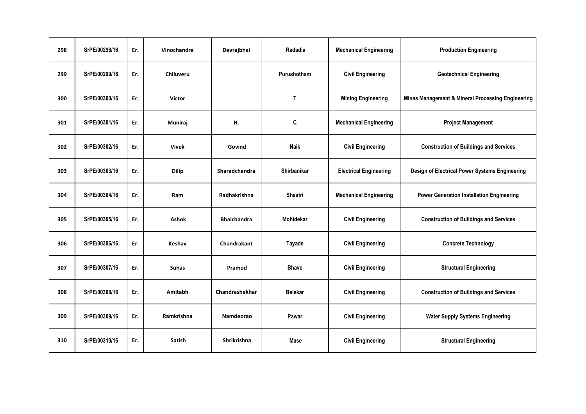| 298 | SrPE/00298/16 | Er. | Vinochandra       | Devrajbhai         | Radadia        | <b>Mechanical Engineering</b> | <b>Production Engineering</b>                     |
|-----|---------------|-----|-------------------|--------------------|----------------|-------------------------------|---------------------------------------------------|
| 299 | SrPE/00299/16 | Er. | Chiluveru         |                    | Purushotham    | <b>Civil Engineering</b>      | <b>Geotechnical Engineering</b>                   |
| 300 | SrPE/00300/16 | Er. | <b>Victor</b>     |                    | $\mathsf{T}$   | <b>Mining Engineering</b>     | Mines Management & Mineral Processing Engineering |
| 301 | SrPE/00301/16 | Er. | Muniraj           | Н.                 | C              | <b>Mechanical Engineering</b> | <b>Project Management</b>                         |
| 302 | SrPE/00302/16 | Er. | <b>Vivek</b>      | Govind             | <b>Naik</b>    | <b>Civil Engineering</b>      | <b>Construction of Buildings and Services</b>     |
| 303 | SrPE/00303/16 | Er. | <b>Dilip</b>      | Sharadchandra      | Shirbanikar    | <b>Electrical Engineering</b> | Design of Electrical Power Systems Engineering    |
| 304 | SrPE/00304/16 | Er. | Ram               | Radhakrishna       | Shastri        | <b>Mechanical Engineering</b> | <b>Power Generation Installation Engineering</b>  |
| 305 | SrPE/00305/16 | Er. | <b>Ashok</b>      | <b>Bhalchandra</b> | Mohidekar      | <b>Civil Engineering</b>      | <b>Construction of Buildings and Services</b>     |
| 306 | SrPE/00306/16 | Er. | Keshav            | <b>Chandrakant</b> | Tayade         | <b>Civil Engineering</b>      | <b>Concrete Technology</b>                        |
| 307 | SrPE/00307/16 | Er. | <b>Suhas</b>      | Pramod             | <b>Bhave</b>   | <b>Civil Engineering</b>      | <b>Structural Engineering</b>                     |
| 308 | SrPE/00308/16 | Er. | Amitabh           | Chandrashekhar     | <b>Belekar</b> | <b>Civil Engineering</b>      | <b>Construction of Buildings and Services</b>     |
| 309 | SrPE/00309/16 | Er. | <b>Ramkrishna</b> | Namdeorao          | Pawar          | <b>Civil Engineering</b>      | <b>Water Supply Systems Engineering</b>           |
| 310 | SrPE/00310/16 | Er. | Satish            | <b>Shrikrishna</b> | Mase           | <b>Civil Engineering</b>      | <b>Structural Engineering</b>                     |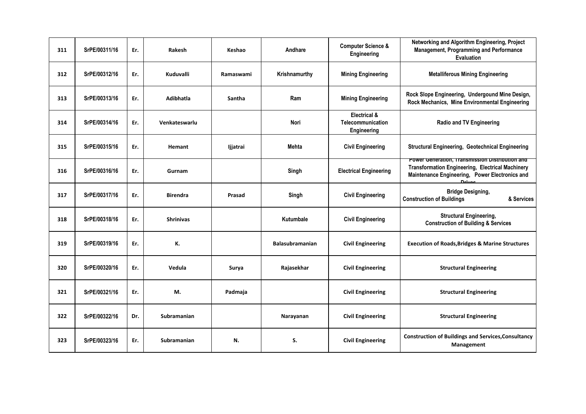| 311 | SrPE/00311/16 | Er. | Rakesh           | Keshao    | Andhare                | <b>Computer Science &amp;</b><br>Engineering     | Networking and Algorithm Engineering, Project<br>Management, Programming and Performance<br><b>Evaluation</b>                                                          |
|-----|---------------|-----|------------------|-----------|------------------------|--------------------------------------------------|------------------------------------------------------------------------------------------------------------------------------------------------------------------------|
| 312 | SrPE/00312/16 | Er. | Kuduvalli        | Ramaswami | Krishnamurthy          | <b>Mining Engineering</b>                        | <b>Metalliferous Mining Engineering</b>                                                                                                                                |
| 313 | SrPE/00313/16 | Er. | <b>Adibhatla</b> | Santha    | Ram                    | <b>Mining Engineering</b>                        | Rock Slope Engineering, Undergound Mine Design,<br>Rock Mechanics, Mine Environmental Engineering                                                                      |
| 314 | SrPE/00314/16 | Er. | Venkateswarlu    |           | Nori                   | Electrical &<br>Telecommunication<br>Engineering | <b>Radio and TV Engineering</b>                                                                                                                                        |
| 315 | SrPE/00315/16 | Er. | Hemant           | ljjatrai  | <b>Mehta</b>           | <b>Civil Engineering</b>                         | <b>Structural Engineering, Geotechnical Engineering</b>                                                                                                                |
| 316 | SrPE/00316/16 | Er. | Gurnam           |           | Singh                  | <b>Electrical Engineering</b>                    | Power Generation, Transmission Distribution and<br><b>Transformation Engineering, Electrical Machinery</b><br>Maintenance Engineering, Power Electronics and<br>Drives |
| 317 | SrPE/00317/16 | Er. | <b>Birendra</b>  | Prasad    | Singh                  | <b>Civil Engineering</b>                         | <b>Bridge Designing,</b><br><b>Construction of Buildings</b><br>& Services                                                                                             |
| 318 | SrPE/00318/16 | Er. | <b>Shrinivas</b> |           | Kutumbale              | <b>Civil Engineering</b>                         | <b>Structural Engineering,</b><br><b>Construction of Building &amp; Services</b>                                                                                       |
| 319 | SrPE/00319/16 | Er. | К.               |           | <b>Balasubramanian</b> | <b>Civil Engineering</b>                         | <b>Execution of Roads, Bridges &amp; Marine Structures</b>                                                                                                             |
| 320 | SrPE/00320/16 | Er. | Vedula           | Surya     | Rajasekhar             | <b>Civil Engineering</b>                         | <b>Structural Engineering</b>                                                                                                                                          |
| 321 | SrPE/00321/16 | Er. | М.               | Padmaja   |                        | <b>Civil Engineering</b>                         | <b>Structural Engineering</b>                                                                                                                                          |
| 322 | SrPE/00322/16 | Dr. | Subramanian      |           | Narayanan              | <b>Civil Engineering</b>                         | <b>Structural Engineering</b>                                                                                                                                          |
| 323 | SrPE/00323/16 | Er. | Subramanian      | N.        | S.                     | <b>Civil Engineering</b>                         | <b>Construction of Buildings and Services, Consultancy</b><br>Management                                                                                               |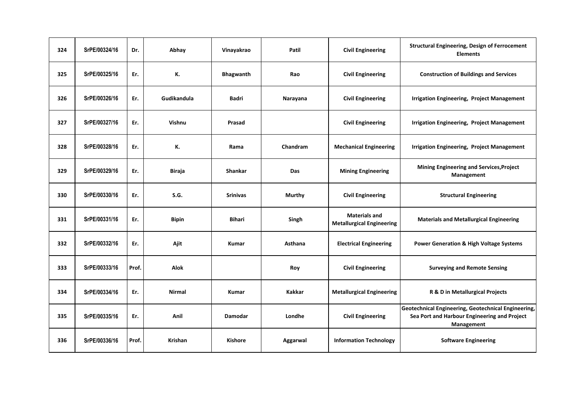| 324 | SrPE/00324/16 | Dr.   | Abhay          | Vinayakrao      | Patil         | <b>Civil Engineering</b>                                 | <b>Structural Engineering, Design of Ferrocement</b><br><b>Elements</b>                                           |
|-----|---------------|-------|----------------|-----------------|---------------|----------------------------------------------------------|-------------------------------------------------------------------------------------------------------------------|
| 325 | SrPE/00325/16 | Er.   | К.             | Bhagwanth       | Rao           | <b>Civil Engineering</b>                                 | <b>Construction of Buildings and Services</b>                                                                     |
| 326 | SrPE/00326/16 | Er.   | Gudikandula    | <b>Badri</b>    | Narayana      | <b>Civil Engineering</b>                                 | <b>Irrigation Engineering, Project Management</b>                                                                 |
| 327 | SrPE/00327/16 | Er.   | Vishnu         | Prasad          |               | <b>Civil Engineering</b>                                 | <b>Irrigation Engineering, Project Management</b>                                                                 |
| 328 | SrPE/00328/16 | Er.   | К.             | Rama            | Chandram      | <b>Mechanical Engineering</b>                            | <b>Irrigation Engineering, Project Management</b>                                                                 |
| 329 | SrPE/00329/16 | Er.   | Biraja         | <b>Shankar</b>  | <b>Das</b>    | <b>Mining Engineering</b>                                | <b>Mining Engineering and Services, Project</b><br>Management                                                     |
| 330 | SrPE/00330/16 | Er.   | S.G.           | <b>Srinivas</b> | Murthy        | <b>Civil Engineering</b>                                 | <b>Structural Engineering</b>                                                                                     |
| 331 | SrPE/00331/16 | Er.   | <b>Bipin</b>   | <b>Bihari</b>   | Singh         | <b>Materials and</b><br><b>Metallurgical Engineering</b> | <b>Materials and Metallurgical Engineering</b>                                                                    |
| 332 | SrPE/00332/16 | Er.   | Ajit           | Kumar           | Asthana       | <b>Electrical Engineering</b>                            | <b>Power Generation &amp; High Voltage Systems</b>                                                                |
| 333 | SrPE/00333/16 | Prof. | Alok           |                 | Roy           | <b>Civil Engineering</b>                                 | <b>Surveying and Remote Sensing</b>                                                                               |
| 334 | SrPE/00334/16 | Er.   | <b>Nirmal</b>  | <b>Kumar</b>    | <b>Kakkar</b> | <b>Metallurgical Engineering</b>                         | R & D in Metallurgical Projects                                                                                   |
| 335 | SrPE/00335/16 | Er.   | Anil           | Damodar         | Londhe        | <b>Civil Engineering</b>                                 | Geotechnical Engineering, Geotechnical Engineering,<br>Sea Port and Harbour Engineering and Project<br>Management |
| 336 | SrPE/00336/16 | Prof. | <b>Krishan</b> | <b>Kishore</b>  | Aggarwal      | <b>Information Technology</b>                            | <b>Software Engineering</b>                                                                                       |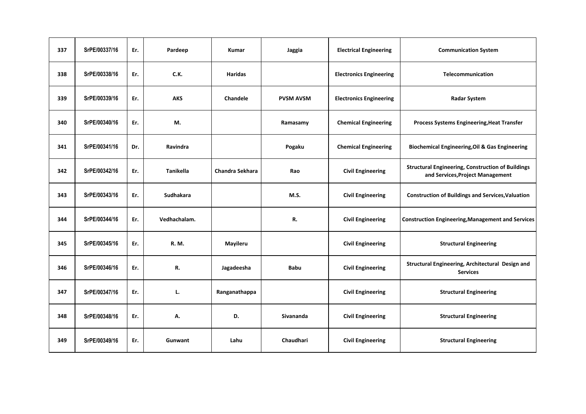| 337 | SrPE/00337/16 | Er. | Pardeep          | Kumar                  | Jaggia           | <b>Electrical Engineering</b>  | <b>Communication System</b>                                                                  |
|-----|---------------|-----|------------------|------------------------|------------------|--------------------------------|----------------------------------------------------------------------------------------------|
| 338 | SrPE/00338/16 | Er. | C.K.             | <b>Haridas</b>         |                  | <b>Electronics Engineering</b> | Telecommunication                                                                            |
| 339 | SrPE/00339/16 | Er. | <b>AKS</b>       | Chandele               | <b>PVSM AVSM</b> | <b>Electronics Engineering</b> | <b>Radar System</b>                                                                          |
| 340 | SrPE/00340/16 | Er. | M.               |                        | Ramasamy         | <b>Chemical Engineering</b>    | <b>Process Systems Engineering, Heat Transfer</b>                                            |
| 341 | SrPE/00341/16 | Dr. | Ravindra         |                        | Pogaku           | <b>Chemical Engineering</b>    | <b>Biochemical Engineering, Oil &amp; Gas Engineering</b>                                    |
| 342 | SrPE/00342/16 | Er. | <b>Tanikella</b> | <b>Chandra Sekhara</b> | Rao              | <b>Civil Engineering</b>       | <b>Structural Engineering, Construction of Buildings</b><br>and Services, Project Management |
| 343 | SrPE/00343/16 | Er. | <b>Sudhakara</b> |                        | M.S.             | <b>Civil Engineering</b>       | <b>Construction of Buildings and Services, Valuation</b>                                     |
| 344 | SrPE/00344/16 | Er. | Vedhachalam.     |                        | R.               | <b>Civil Engineering</b>       | <b>Construction Engineering, Management and Services</b>                                     |
| 345 | SrPE/00345/16 | Er. | R. M.            | Mayileru               |                  | <b>Civil Engineering</b>       | <b>Structural Engineering</b>                                                                |
| 346 | SrPE/00346/16 | Er. | R.               | Jagadeesha             | <b>Babu</b>      | <b>Civil Engineering</b>       | Structural Engineering, Architectural Design and<br><b>Services</b>                          |
| 347 | SrPE/00347/16 | Er. | L.               | Ranganathappa          |                  | <b>Civil Engineering</b>       | <b>Structural Engineering</b>                                                                |
| 348 | SrPE/00348/16 | Er. | А.               | D.                     | Sivananda        | <b>Civil Engineering</b>       | <b>Structural Engineering</b>                                                                |
| 349 | SrPE/00349/16 | Er. | Gunwant          | Lahu                   | Chaudhari        | <b>Civil Engineering</b>       | <b>Structural Engineering</b>                                                                |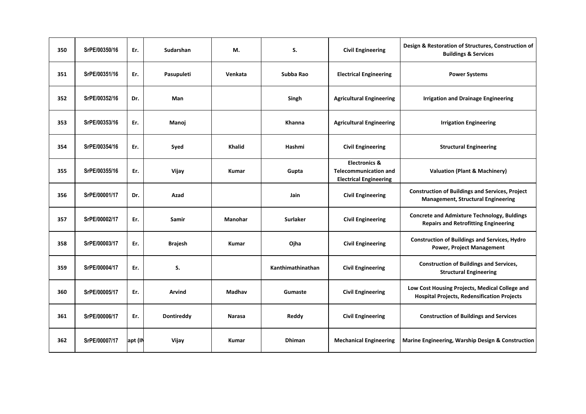| 350 | SrPE/00350/16 | Er.     | Sudarshan         | М.            | S.                | <b>Civil Engineering</b>                                                                  | Design & Restoration of Structures, Construction of<br><b>Buildings &amp; Services</b>               |
|-----|---------------|---------|-------------------|---------------|-------------------|-------------------------------------------------------------------------------------------|------------------------------------------------------------------------------------------------------|
| 351 | SrPE/00351/16 | Er.     | Pasupuleti        | Venkata       | Subba Rao         | <b>Electrical Engineering</b>                                                             | <b>Power Systems</b>                                                                                 |
| 352 | SrPE/00352/16 | Dr.     | Man               |               | Singh             | <b>Agricultural Engineering</b>                                                           | <b>Irrigation and Drainage Engineering</b>                                                           |
| 353 | SrPE/00353/16 | Er.     | Manoj             |               | Khanna            | <b>Agricultural Engineering</b>                                                           | <b>Irrigation Engineering</b>                                                                        |
| 354 | SrPE/00354/16 | Er.     | Syed              | <b>Khalid</b> | Hashmi            | <b>Civil Engineering</b>                                                                  | <b>Structural Engineering</b>                                                                        |
| 355 | SrPE/00355/16 | Er.     | Vijay             | <b>Kumar</b>  | Gupta             | <b>Electronics &amp;</b><br><b>Telecommunication and</b><br><b>Electrical Engineering</b> | <b>Valuation (Plant &amp; Machinery)</b>                                                             |
| 356 | SrPE/00001/17 | Dr.     | Azad              |               | Jain              | <b>Civil Engineering</b>                                                                  | <b>Construction of Buildings and Services, Project</b><br><b>Management, Structural Engineering</b>  |
| 357 | SrPE/00002/17 | Er.     | Samir             | Manohar       | <b>Surlaker</b>   | <b>Civil Engineering</b>                                                                  | <b>Concrete and Admixture Technology, Buldings</b><br><b>Repairs and Retrofitting Engineering</b>    |
| 358 | SrPE/00003/17 | Er.     | <b>Brajesh</b>    | <b>Kumar</b>  | Ojha              | <b>Civil Engineering</b>                                                                  | <b>Construction of Buildings and Services, Hydro</b><br><b>Power, Project Management</b>             |
| 359 | SrPE/00004/17 | Er.     | S.                |               | Kanthimathinathan | <b>Civil Engineering</b>                                                                  | <b>Construction of Buildings and Services,</b><br><b>Structural Engineering</b>                      |
| 360 | SrPE/00005/17 | Er.     | Arvind            | Madhav        | Gumaste           | <b>Civil Engineering</b>                                                                  | Low Cost Housing Projects, Medical College and<br><b>Hospital Projects, Redensification Projects</b> |
| 361 | SrPE/00006/17 | Er.     | <b>Dontireddy</b> | <b>Narasa</b> | Reddy             | <b>Civil Engineering</b>                                                                  | <b>Construction of Buildings and Services</b>                                                        |
| 362 | SrPE/00007/17 | apt (IN | Vijay             | <b>Kumar</b>  | <b>Dhiman</b>     | <b>Mechanical Engineering</b>                                                             | Marine Engineering, Warship Design & Construction                                                    |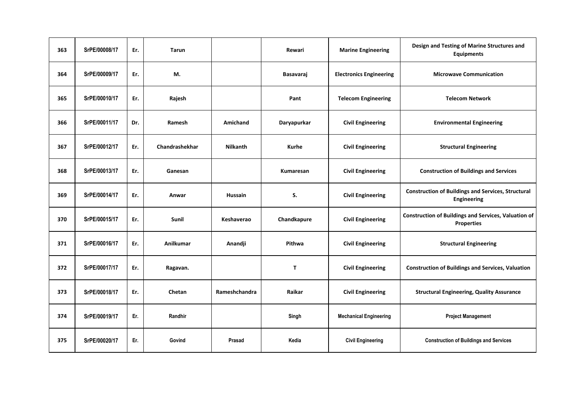| 363 | SrPE/00008/17 | Er. | <b>Tarun</b>     |                 | Rewari       | <b>Marine Engineering</b>      | Design and Testing of Marine Structures and<br><b>Equipments</b>                 |
|-----|---------------|-----|------------------|-----------------|--------------|--------------------------------|----------------------------------------------------------------------------------|
| 364 | SrPE/00009/17 | Er. | М.               |                 | Basavaraj    | <b>Electronics Engineering</b> | <b>Microwave Communication</b>                                                   |
| 365 | SrPE/00010/17 | Er. | Rajesh           |                 | Pant         | <b>Telecom Engineering</b>     | <b>Telecom Network</b>                                                           |
| 366 | SrPE/00011/17 | Dr. | Ramesh           | Amichand        | Daryapurkar  | <b>Civil Engineering</b>       | <b>Environmental Engineering</b>                                                 |
| 367 | SrPE/00012/17 | Er. | Chandrashekhar   | <b>Nilkanth</b> | Kurhe        | <b>Civil Engineering</b>       | <b>Structural Engineering</b>                                                    |
| 368 | SrPE/00013/17 | Er. | Ganesan          |                 | Kumaresan    | <b>Civil Engineering</b>       | <b>Construction of Buildings and Services</b>                                    |
| 369 | SrPE/00014/17 | Er. | Anwar            | Hussain         | S.           | <b>Civil Engineering</b>       | <b>Construction of Buildings and Services, Structural</b><br>Engineering         |
| 370 | SrPE/00015/17 | Er. | Sunil            | Keshaverao      | Chandkapure  | <b>Civil Engineering</b>       | <b>Construction of Buildings and Services, Valuation of</b><br><b>Properties</b> |
| 371 | SrPE/00016/17 | Er. | <b>Anilkumar</b> | Anandji         | Pithwa       | <b>Civil Engineering</b>       | <b>Structural Engineering</b>                                                    |
| 372 | SrPE/00017/17 | Er. | Ragavan.         |                 | $\mathbf{T}$ | <b>Civil Engineering</b>       | <b>Construction of Buildings and Services, Valuation</b>                         |
| 373 | SrPE/00018/17 | Er. | Chetan           | Rameshchandra   | Raikar       | <b>Civil Engineering</b>       | <b>Structural Engineering, Quality Assurance</b>                                 |
| 374 | SrPE/00019/17 | Er. | Randhir          |                 | Singh        | <b>Mechanical Engineering</b>  | <b>Project Management</b>                                                        |
| 375 | SrPE/00020/17 | Er. | Govind           | Prasad          | Kedia        | <b>Civil Engineering</b>       | <b>Construction of Buildings and Services</b>                                    |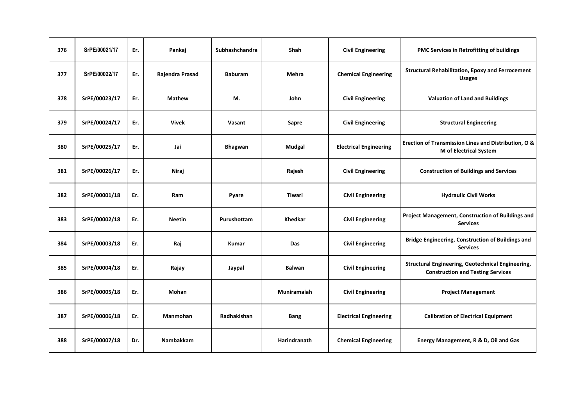| 376 | SrPE/00021/17 | Er. | Pankaj           | Subhashchandra | Shah           | <b>Civil Engineering</b>      | PMC Services in Retrofitting of buildings                                                     |
|-----|---------------|-----|------------------|----------------|----------------|-------------------------------|-----------------------------------------------------------------------------------------------|
| 377 | SrPE/00022/17 | Er. | Rajendra Prasad  | <b>Baburam</b> | Mehra          | <b>Chemical Engineering</b>   | <b>Structural Rehabilitation, Epoxy and Ferrocement</b><br><b>Usages</b>                      |
| 378 | SrPE/00023/17 | Er. | <b>Mathew</b>    | M.             | John           | <b>Civil Engineering</b>      | <b>Valuation of Land and Buildings</b>                                                        |
| 379 | SrPE/00024/17 | Er. | <b>Vivek</b>     | Vasant         | Sapre          | <b>Civil Engineering</b>      | <b>Structural Engineering</b>                                                                 |
| 380 | SrPE/00025/17 | Er. | Jai              | Bhagwan        | Mudgal         | <b>Electrical Engineering</b> | Erection of Transmission Lines and Distribution, O &<br><b>M</b> of Electrical System         |
| 381 | SrPE/00026/17 | Er. | Niraj            |                | Rajesh         | <b>Civil Engineering</b>      | <b>Construction of Buildings and Services</b>                                                 |
| 382 | SrPE/00001/18 | Er. | Ram              | Pyare          | <b>Tiwari</b>  | <b>Civil Engineering</b>      | <b>Hydraulic Civil Works</b>                                                                  |
| 383 | SrPE/00002/18 | Er. | <b>Neetin</b>    | Purushottam    | <b>Khedkar</b> | <b>Civil Engineering</b>      | Project Management, Construction of Buildings and<br><b>Services</b>                          |
| 384 | SrPE/00003/18 | Er. | Raj              | <b>Kumar</b>   | Das            | <b>Civil Engineering</b>      | Bridge Engineering, Construction of Buildings and<br><b>Services</b>                          |
| 385 | SrPE/00004/18 | Er. | Rajay            | Jaypal         | <b>Balwan</b>  | <b>Civil Engineering</b>      | Structural Engineering, Geotechnical Engineering,<br><b>Construction and Testing Services</b> |
| 386 | SrPE/00005/18 | Er. | Mohan            |                | Muniramaiah    | <b>Civil Engineering</b>      | <b>Project Management</b>                                                                     |
| 387 | SrPE/00006/18 | Er. | <b>Manmohan</b>  | Radhakishan    | <b>Bang</b>    | <b>Electrical Engineering</b> | <b>Calibration of Electrical Equipment</b>                                                    |
| 388 | SrPE/00007/18 | Dr. | <b>Nambakkam</b> |                | Harindranath   | <b>Chemical Engineering</b>   | Energy Management, R & D, Oil and Gas                                                         |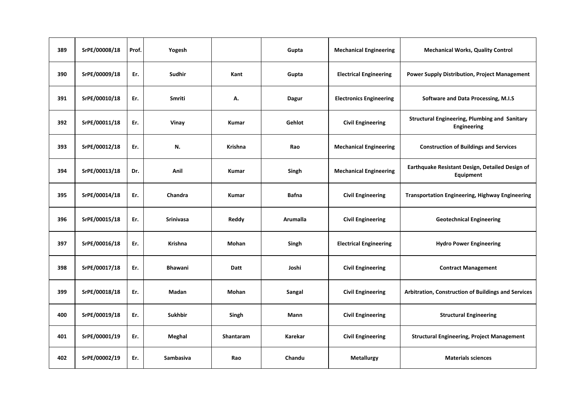| 389 | SrPE/00008/18 | Prof. | Yogesh           |                  | Gupta        | <b>Mechanical Engineering</b>  | <b>Mechanical Works, Quality Control</b>                            |
|-----|---------------|-------|------------------|------------------|--------------|--------------------------------|---------------------------------------------------------------------|
| 390 | SrPE/00009/18 | Er.   | Sudhir           | Kant             | Gupta        | <b>Electrical Engineering</b>  | <b>Power Supply Distribution, Project Management</b>                |
| 391 | SrPE/00010/18 | Er.   | <b>Smriti</b>    | А.               | <b>Dagur</b> | <b>Electronics Engineering</b> | Software and Data Processing, M.I.S                                 |
| 392 | SrPE/00011/18 | Er.   | Vinay            | Kumar            | Gehlot       | <b>Civil Engineering</b>       | <b>Structural Engineering, Plumbing and Sanitary</b><br>Engineering |
| 393 | SrPE/00012/18 | Er.   | N.               | <b>Krishna</b>   | Rao          | <b>Mechanical Engineering</b>  | <b>Construction of Buildings and Services</b>                       |
| 394 | SrPE/00013/18 | Dr.   | Anil             | Kumar            | Singh        | <b>Mechanical Engineering</b>  | Earthquake Resistant Design, Detailed Design of<br>Equipment        |
| 395 | SrPE/00014/18 | Er.   | Chandra          | Kumar            | <b>Bafna</b> | <b>Civil Engineering</b>       | <b>Transportation Engineering, Highway Engineering</b>              |
| 396 | SrPE/00015/18 | Er.   | <b>Srinivasa</b> | Reddy            | Arumalla     | <b>Civil Engineering</b>       | <b>Geotechnical Engineering</b>                                     |
| 397 | SrPE/00016/18 | Er.   | Krishna          | Mohan            | Singh        | <b>Electrical Engineering</b>  | <b>Hydro Power Engineering</b>                                      |
| 398 | SrPE/00017/18 | Er.   | <b>Bhawani</b>   | Datt             | Joshi        | <b>Civil Engineering</b>       | <b>Contract Management</b>                                          |
| 399 | SrPE/00018/18 | Er.   | Madan            | Mohan            | Sangal       | <b>Civil Engineering</b>       | Arbitration, Construction of Buildings and Services                 |
| 400 | SrPE/00019/18 | Er.   | <b>Sukhbir</b>   | Singh            | Mann         | <b>Civil Engineering</b>       | <b>Structural Engineering</b>                                       |
| 401 | SrPE/00001/19 | Er.   | Meghal           | <b>Shantaram</b> | Karekar      | <b>Civil Engineering</b>       | <b>Structural Engineering, Project Management</b>                   |
| 402 | SrPE/00002/19 | Er.   | Sambasiva        | Rao              | Chandu       | <b>Metallurgy</b>              | <b>Materials sciences</b>                                           |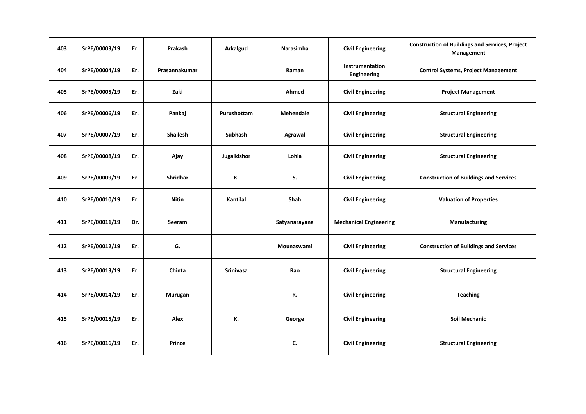| 403 | SrPE/00003/19 | Er. | Prakash         | Arkalgud         | <b>Narasimha</b> | <b>Civil Engineering</b>       | <b>Construction of Buildings and Services, Project</b><br>Management |
|-----|---------------|-----|-----------------|------------------|------------------|--------------------------------|----------------------------------------------------------------------|
| 404 | SrPE/00004/19 | Er. | Prasannakumar   |                  | Raman            | Instrumentation<br>Engineering | <b>Control Systems, Project Management</b>                           |
| 405 | SrPE/00005/19 | Er. | Zaki            |                  | Ahmed            | <b>Civil Engineering</b>       | <b>Project Management</b>                                            |
| 406 | SrPE/00006/19 | Er. | Pankaj          | Purushottam      | <b>Mehendale</b> | <b>Civil Engineering</b>       | <b>Structural Engineering</b>                                        |
| 407 | SrPE/00007/19 | Er. | <b>Shailesh</b> | Subhash          | Agrawal          | <b>Civil Engineering</b>       | <b>Structural Engineering</b>                                        |
| 408 | SrPE/00008/19 | Er. | Ajay            | Jugalkishor      | Lohia            | <b>Civil Engineering</b>       | <b>Structural Engineering</b>                                        |
| 409 | SrPE/00009/19 | Er. | <b>Shridhar</b> | К.               | S.               | <b>Civil Engineering</b>       | <b>Construction of Buildings and Services</b>                        |
| 410 | SrPE/00010/19 | Er. | <b>Nitin</b>    | Kantilal         | <b>Shah</b>      | <b>Civil Engineering</b>       | <b>Valuation of Properties</b>                                       |
| 411 | SrPE/00011/19 | Dr. | Seeram          |                  | Satyanarayana    | <b>Mechanical Engineering</b>  | Manufacturing                                                        |
| 412 | SrPE/00012/19 | Er. | G.              |                  | Mounaswami       | <b>Civil Engineering</b>       | <b>Construction of Buildings and Services</b>                        |
| 413 | SrPE/00013/19 | Er. | Chinta          | <b>Srinivasa</b> | Rao              | <b>Civil Engineering</b>       | <b>Structural Engineering</b>                                        |
| 414 | SrPE/00014/19 | Er. | Murugan         |                  | R.               | <b>Civil Engineering</b>       | <b>Teaching</b>                                                      |
| 415 | SrPE/00015/19 | Er. | Alex            | К.               | George           | <b>Civil Engineering</b>       | <b>Soil Mechanic</b>                                                 |
| 416 | SrPE/00016/19 | Er. | Prince          |                  | C.               | <b>Civil Engineering</b>       | <b>Structural Engineering</b>                                        |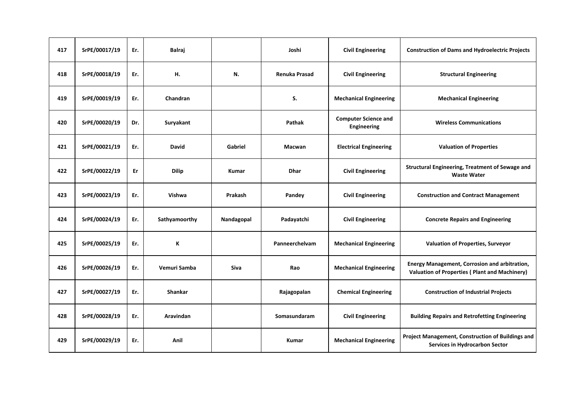| 417 | SrPE/00017/19 | Er. | <b>Balraj</b>    |              | Joshi          | <b>Civil Engineering</b>                   | <b>Construction of Dams and Hydroelectric Projects</b>                                                |
|-----|---------------|-----|------------------|--------------|----------------|--------------------------------------------|-------------------------------------------------------------------------------------------------------|
| 418 | SrPE/00018/19 | Er. | н.               | N.           | Renuka Prasad  | <b>Civil Engineering</b>                   | <b>Structural Engineering</b>                                                                         |
| 419 | SrPE/00019/19 | Er. | Chandran         |              | S.             | <b>Mechanical Engineering</b>              | <b>Mechanical Engineering</b>                                                                         |
| 420 | SrPE/00020/19 | Dr. | Suryakant        |              | Pathak         | <b>Computer Science and</b><br>Engineering | <b>Wireless Communications</b>                                                                        |
| 421 | SrPE/00021/19 | Er. | <b>David</b>     | Gabriel      | Macwan         | <b>Electrical Engineering</b>              | <b>Valuation of Properties</b>                                                                        |
| 422 | SrPE/00022/19 | Er  | <b>Dilip</b>     | <b>Kumar</b> | <b>Dhar</b>    | <b>Civil Engineering</b>                   | Structural Engineering, Treatment of Sewage and<br><b>Waste Water</b>                                 |
| 423 | SrPE/00023/19 | Er. | Vishwa           | Prakash      | Pandey         | <b>Civil Engineering</b>                   | <b>Construction and Contract Management</b>                                                           |
| 424 | SrPE/00024/19 | Er. | Sathyamoorthy    | Nandagopal   | Padayatchi     | <b>Civil Engineering</b>                   | <b>Concrete Repairs and Engineering</b>                                                               |
| 425 | SrPE/00025/19 | Er. | К                |              | Panneerchelvam | <b>Mechanical Engineering</b>              | Valuation of Properties, Surveyor                                                                     |
| 426 | SrPE/00026/19 | Er. | Vemuri Samba     | Siva         | Rao            | <b>Mechanical Engineering</b>              | Energy Management, Corrosion and arbitration,<br><b>Valuation of Properties (Plant and Machinery)</b> |
| 427 | SrPE/00027/19 | Er. | <b>Shankar</b>   |              | Rajagopalan    | <b>Chemical Engineering</b>                | <b>Construction of Industrial Projects</b>                                                            |
| 428 | SrPE/00028/19 | Er. | <b>Aravindan</b> |              | Somasundaram   | <b>Civil Engineering</b>                   | <b>Building Repairs and Retrofetting Engineering</b>                                                  |
| 429 | SrPE/00029/19 | Er. | Anil             |              | <b>Kumar</b>   | <b>Mechanical Engineering</b>              | Project Management, Construction of Buildings and<br>Services in Hydrocarbon Sector                   |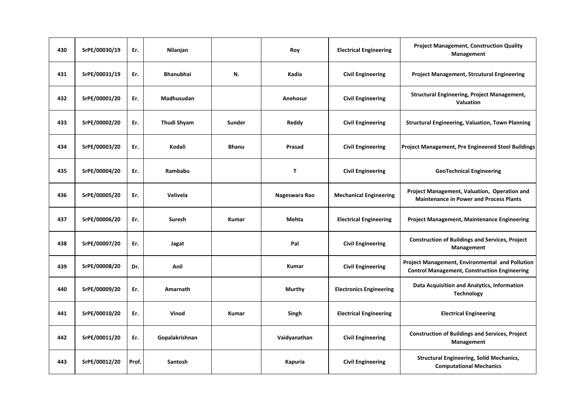| 430 | SrPE/00030/19 | Er.   | Nilanjan           |              | Roy           | <b>Electrical Engineering</b>  | <b>Project Management, Construction Quality</b><br>Management                                          |
|-----|---------------|-------|--------------------|--------------|---------------|--------------------------------|--------------------------------------------------------------------------------------------------------|
| 431 | SrPE/00031/19 | Er.   | <b>Bhanubhai</b>   | N.           | Kadia         | <b>Civil Engineering</b>       | <b>Project Management, Strcutural Engineering</b>                                                      |
| 432 | SrPE/00001/20 | Er.   | Madhusudan         |              | Anehosur      | <b>Civil Engineering</b>       | Structural Engineering, Project Management,<br>Valuation                                               |
| 433 | SrPE/00002/20 | Er.   | <b>Thudi Shyam</b> | Sunder       | Reddy         | <b>Civil Engineering</b>       | <b>Structural Engineering, Valuation, Town Planning</b>                                                |
| 434 | SrPE/00003/20 | Er.   | Kodali             | <b>Bhanu</b> | Prasad        | <b>Civil Engineering</b>       | Project Management, Pre Engineered Steel Buildings                                                     |
| 435 | SrPE/00004/20 | Er.   | Rambabu            |              | $\mathbf{T}$  | <b>Civil Engineering</b>       | <b>GeoTechnical Engineering</b>                                                                        |
| 436 | SrPE/00005/20 | Er.   | Velivela           |              | Nageswara Rao | <b>Mechanical Engineering</b>  | Project Management, Valuation, Operation and<br><b>Maintenance in Power and Process Plants</b>         |
| 437 | SrPE/00006/20 | Er.   | Suresh             | Kumar        | Mehta         | <b>Electrical Engineering</b>  | <b>Project Management, Maintenance Engineering</b>                                                     |
| 438 | SrPE/00007/20 | Er.   | Jagat              |              | Pal           | <b>Civil Engineering</b>       | <b>Construction of Buildings and Services, Project</b><br>Management                                   |
| 439 | SrPE/00008/20 | Dr.   | Anil               |              | <b>Kumar</b>  | <b>Civil Engineering</b>       | Project Management, Environmental and Pollution<br><b>Control Management, Construction Engineering</b> |
| 440 | SrPE/00009/20 | Er.   | Amarnath           |              | Murthy        | <b>Electronics Engineering</b> | Data Acquisition and Analytics, Information<br><b>Technology</b>                                       |
| 441 | SrPE/00010/20 | Er.   | Vinod              | Kumar        | Singh         | <b>Electrical Engineering</b>  | <b>Electrical Engineering</b>                                                                          |
| 442 | SrPE/00011/20 | Er.   | Gopalakrishnan     |              | Vaidyanathan  | <b>Civil Engineering</b>       | <b>Construction of Buildings and Services, Project</b><br>Management                                   |
| 443 | SrPE/00012/20 | Prof. | Santosh            |              | Kapuria       | <b>Civil Engineering</b>       | <b>Structural Engineering, Solid Mechanics,</b><br><b>Computational Mechanics</b>                      |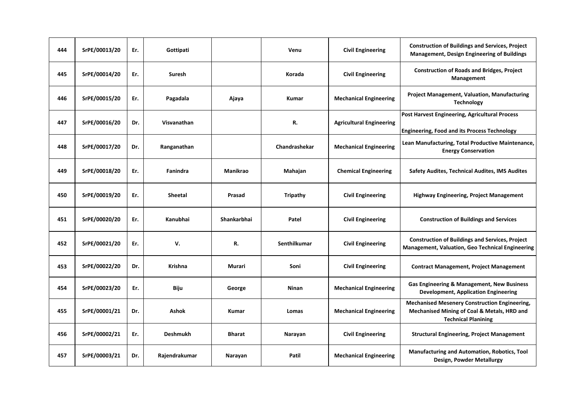| 444 | SrPE/00013/20 | Er. | Gottipati       |                    | Venu            | <b>Civil Engineering</b>        | <b>Construction of Buildings and Services, Project</b><br><b>Management, Design Engineering of Buildings</b>                      |
|-----|---------------|-----|-----------------|--------------------|-----------------|---------------------------------|-----------------------------------------------------------------------------------------------------------------------------------|
| 445 | SrPE/00014/20 | Er. | Suresh          |                    | Korada          | <b>Civil Engineering</b>        | <b>Construction of Roads and Bridges, Project</b><br>Management                                                                   |
| 446 | SrPE/00015/20 | Er. | Pagadala        | Ajaya              | Kumar           | <b>Mechanical Engineering</b>   | <b>Project Management, Valuation, Manufacturing</b><br><b>Technology</b>                                                          |
| 447 | SrPE/00016/20 | Dr. | Visvanathan     |                    | R.              | <b>Agricultural Engineering</b> | Post Harvest Engineering, Agricultural Process<br><b>Engineering, Food and its Process Technology</b>                             |
| 448 | SrPE/00017/20 | Dr. | Ranganathan     |                    | Chandrashekar   | <b>Mechanical Engineering</b>   | Lean Manufacturing, Total Productive Maintenance,<br><b>Energy Conservation</b>                                                   |
| 449 | SrPE/00018/20 | Er. | Fanindra        | <b>Manikrao</b>    | Mahajan         | <b>Chemical Engineering</b>     | <b>Safety Audites, Technical Audites, IMS Audites</b>                                                                             |
| 450 | SrPE/00019/20 | Er. | <b>Sheetal</b>  | Prasad             | <b>Tripathy</b> | <b>Civil Engineering</b>        | Highway Engineering, Project Management                                                                                           |
| 451 | SrPE/00020/20 | Er. | Kanubhai        | <b>Shankarbhai</b> | Patel           | <b>Civil Engineering</b>        | <b>Construction of Buildings and Services</b>                                                                                     |
| 452 | SrPE/00021/20 | Er. | v.              | R.                 | Senthilkumar    | <b>Civil Engineering</b>        | <b>Construction of Buildings and Services, Project</b><br>Management, Valuation, Geo Technical Engineering                        |
| 453 | SrPE/00022/20 | Dr. | Krishna         | Murari             | Soni            | <b>Civil Engineering</b>        | <b>Contract Management, Project Management</b>                                                                                    |
| 454 | SrPE/00023/20 | Er. | Biju            | George             | Ninan           | <b>Mechanical Engineering</b>   | Gas Engineering & Management, New Business<br><b>Development, Application Engineering</b>                                         |
| 455 | SrPE/00001/21 | Dr. | <b>Ashok</b>    | <b>Kumar</b>       | Lomas           | <b>Mechanical Engineering</b>   | <b>Mechanised Mesenery Construction Engineering,</b><br>Mechanised Mining of Coal & Metals, HRD and<br><b>Technical Planining</b> |
| 456 | SrPE/00002/21 | Er. | <b>Deshmukh</b> | Bharat             | Narayan         | <b>Civil Engineering</b>        | <b>Structural Engineering, Project Management</b>                                                                                 |
| 457 | SrPE/00003/21 | Dr. | Rajendrakumar   | Narayan            | Patil           | <b>Mechanical Engineering</b>   | Manufacturing and Automation, Robotics, Tool<br>Design, Powder Metallurgy                                                         |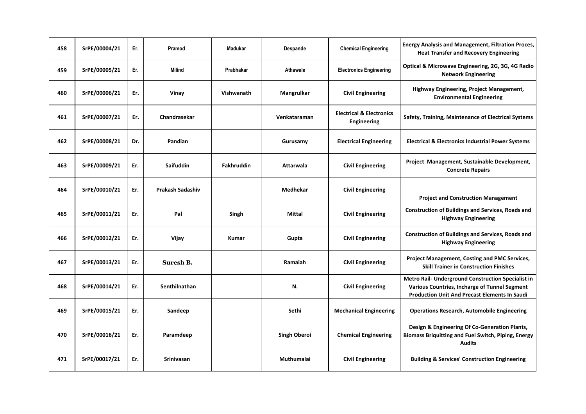| 458 | SrPE/00004/21 | Er. | Pramod            | <b>Madukar</b> | Despande            | <b>Chemical Engineering</b>                        | <b>Energy Analysis and Management, Filtration Proces,</b><br><b>Heat Transfer and Recovery Engineering</b>                                                  |
|-----|---------------|-----|-------------------|----------------|---------------------|----------------------------------------------------|-------------------------------------------------------------------------------------------------------------------------------------------------------------|
| 459 | SrPE/00005/21 | Er. | Milind            | Prabhakar      | Athawale            | <b>Electronics Engineering</b>                     | Optical & Microwave Engineering, 2G, 3G, 4G Radio<br><b>Network Engineering</b>                                                                             |
| 460 | SrPE/00006/21 | Er. | Vinay             | Vishwanath     | Mangrulkar          | <b>Civil Engineering</b>                           | Highway Engineering, Project Management,<br><b>Environmental Engineering</b>                                                                                |
| 461 | SrPE/00007/21 | Er. | Chandrasekar      |                | Venkataraman        | <b>Electrical &amp; Electronics</b><br>Engineering | Safety, Training, Maintenance of Electrical Systems                                                                                                         |
| 462 | SrPE/00008/21 | Dr. | Pandian           |                | Gurusamy            | <b>Electrical Engineering</b>                      | <b>Electrical &amp; Electronics Industrial Power Systems</b>                                                                                                |
| 463 | SrPE/00009/21 | Er. | Saifuddin         | Fakhruddin     | Attarwala           | <b>Civil Engineering</b>                           | Project Management, Sustainable Development,<br><b>Concrete Repairs</b>                                                                                     |
| 464 | SrPE/00010/21 | Er. | Prakash Sadashiv  |                | <b>Medhekar</b>     | <b>Civil Engineering</b>                           | <b>Project and Construction Management</b>                                                                                                                  |
| 465 | SrPE/00011/21 | Er. | Pal               | Singh          | <b>Mittal</b>       | <b>Civil Engineering</b>                           | <b>Construction of Buildings and Services, Roads and</b><br><b>Highway Engineering</b>                                                                      |
| 466 | SrPE/00012/21 | Er. | Vijay             | <b>Kumar</b>   | Gupta               | <b>Civil Engineering</b>                           | <b>Construction of Buildings and Services, Roads and</b><br><b>Highway Engineering</b>                                                                      |
| 467 | SrPE/00013/21 | Er. | Suresh B.         |                | Ramaiah             | <b>Civil Engineering</b>                           | <b>Project Management, Costing and PMC Services,</b><br><b>Skill Trainer in Construction Finishes</b>                                                       |
| 468 | SrPE/00014/21 | Er. | Senthilnathan     |                | N.                  | <b>Civil Engineering</b>                           | Metro Rail- Underground Construction Specialist in<br>Various Countries, Incharge of Tunnel Segment<br><b>Production Unit And Precast Elements In Saudi</b> |
| 469 | SrPE/00015/21 | Er. | Sandeep           |                | Sethi               | <b>Mechanical Engineering</b>                      | <b>Operations Research, Automobile Engineering</b>                                                                                                          |
| 470 | SrPE/00016/21 | Er. | Paramdeep         |                | <b>Singh Oberoi</b> | <b>Chemical Engineering</b>                        | Design & Engineering Of Co-Generation Plants,<br><b>Biomass Briquitting and Fuel Switch, Piping, Energy</b><br><b>Audits</b>                                |
| 471 | SrPE/00017/21 | Er. | <b>Srinivasan</b> |                | Muthumalai          | <b>Civil Engineering</b>                           | <b>Building &amp; Services' Construction Engineering</b>                                                                                                    |